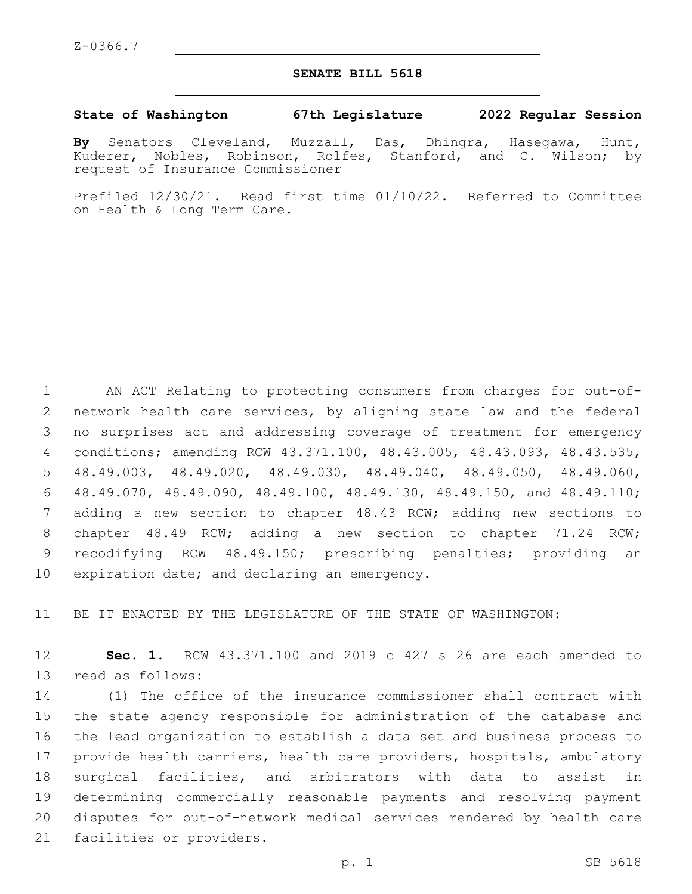## **SENATE BILL 5618**

## **State of Washington 67th Legislature 2022 Regular Session**

**By** Senators Cleveland, Muzzall, Das, Dhingra, Hasegawa, Hunt, Kuderer, Nobles, Robinson, Rolfes, Stanford, and C. Wilson; by request of Insurance Commissioner

Prefiled 12/30/21. Read first time 01/10/22. Referred to Committee on Health & Long Term Care.

 AN ACT Relating to protecting consumers from charges for out-of- network health care services, by aligning state law and the federal no surprises act and addressing coverage of treatment for emergency conditions; amending RCW 43.371.100, 48.43.005, 48.43.093, 48.43.535, 48.49.003, 48.49.020, 48.49.030, 48.49.040, 48.49.050, 48.49.060, 48.49.070, 48.49.090, 48.49.100, 48.49.130, 48.49.150, and 48.49.110; adding a new section to chapter 48.43 RCW; adding new sections to chapter 48.49 RCW; adding a new section to chapter 71.24 RCW; recodifying RCW 48.49.150; prescribing penalties; providing an 10 expiration date; and declaring an emergency.

11 BE IT ENACTED BY THE LEGISLATURE OF THE STATE OF WASHINGTON:

12 **Sec. 1.** RCW 43.371.100 and 2019 c 427 s 26 are each amended to 13 read as follows:

 (1) The office of the insurance commissioner shall contract with the state agency responsible for administration of the database and the lead organization to establish a data set and business process to provide health carriers, health care providers, hospitals, ambulatory surgical facilities, and arbitrators with data to assist in determining commercially reasonable payments and resolving payment disputes for out-of-network medical services rendered by health care 21 facilities or providers.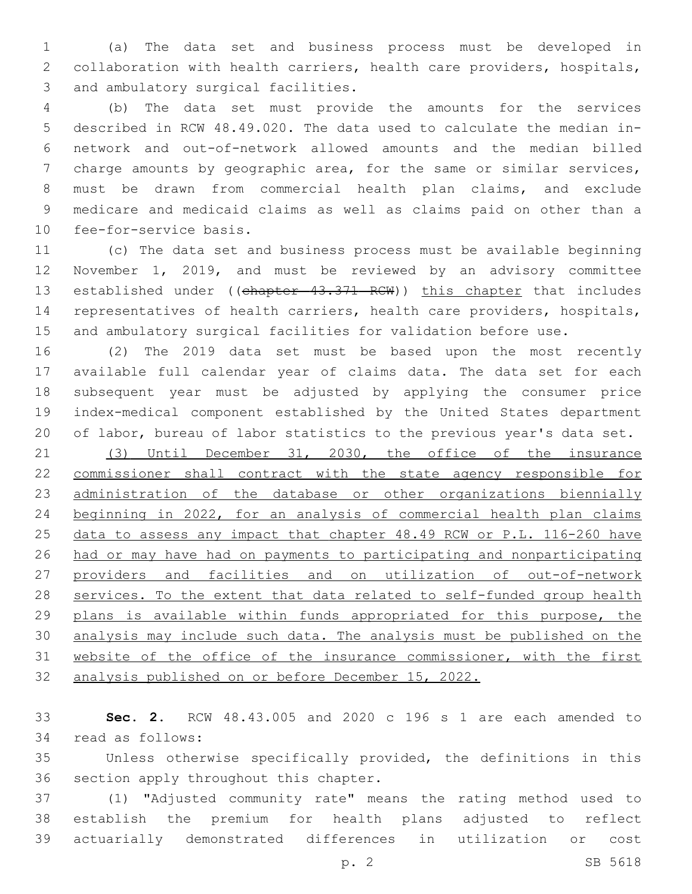(a) The data set and business process must be developed in collaboration with health carriers, health care providers, hospitals, 3 and ambulatory surgical facilities.

 (b) The data set must provide the amounts for the services described in RCW 48.49.020. The data used to calculate the median in- network and out-of-network allowed amounts and the median billed charge amounts by geographic area, for the same or similar services, must be drawn from commercial health plan claims, and exclude medicare and medicaid claims as well as claims paid on other than a 10 fee-for-service basis.

 (c) The data set and business process must be available beginning November 1, 2019, and must be reviewed by an advisory committee 13 established under ((chapter 43.371 RCW)) this chapter that includes representatives of health carriers, health care providers, hospitals, and ambulatory surgical facilities for validation before use.

 (2) The 2019 data set must be based upon the most recently available full calendar year of claims data. The data set for each subsequent year must be adjusted by applying the consumer price index-medical component established by the United States department of labor, bureau of labor statistics to the previous year's data set.

 (3) Until December 31, 2030, the office of the insurance commissioner shall contract with the state agency responsible for administration of the database or other organizations biennially beginning in 2022, for an analysis of commercial health plan claims data to assess any impact that chapter 48.49 RCW or P.L. 116-260 have had or may have had on payments to participating and nonparticipating providers and facilities and on utilization of out-of-network 28 services. To the extent that data related to self-funded group health 29 plans is available within funds appropriated for this purpose, the analysis may include such data. The analysis must be published on the website of the office of the insurance commissioner, with the first analysis published on or before December 15, 2022.

 **Sec. 2.** RCW 48.43.005 and 2020 c 196 s 1 are each amended to 34 read as follows:

 Unless otherwise specifically provided, the definitions in this 36 section apply throughout this chapter.

 (1) "Adjusted community rate" means the rating method used to establish the premium for health plans adjusted to reflect actuarially demonstrated differences in utilization or cost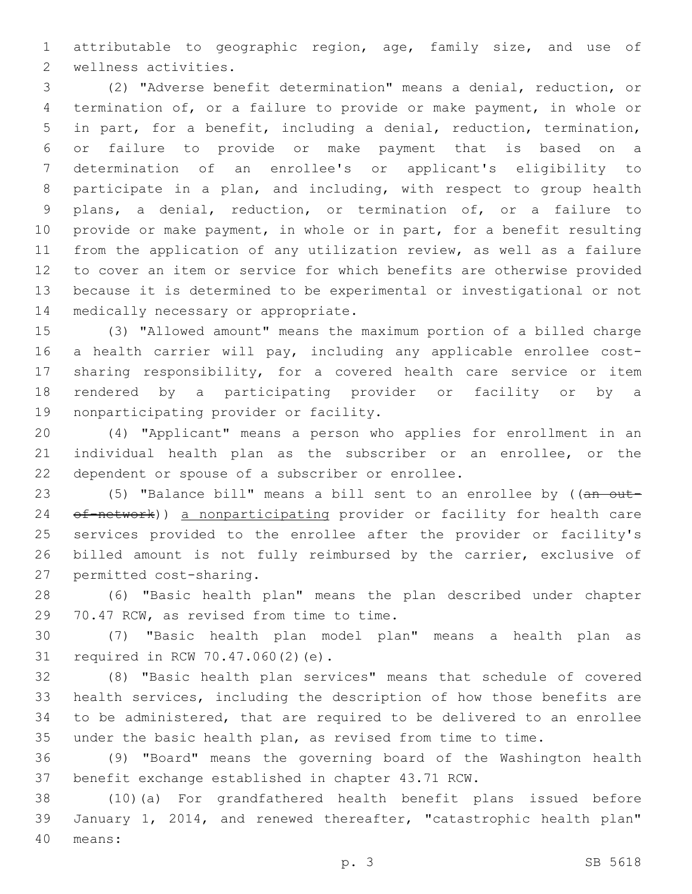attributable to geographic region, age, family size, and use of 2 wellness activities.

 (2) "Adverse benefit determination" means a denial, reduction, or termination of, or a failure to provide or make payment, in whole or in part, for a benefit, including a denial, reduction, termination, or failure to provide or make payment that is based on a determination of an enrollee's or applicant's eligibility to participate in a plan, and including, with respect to group health plans, a denial, reduction, or termination of, or a failure to provide or make payment, in whole or in part, for a benefit resulting from the application of any utilization review, as well as a failure to cover an item or service for which benefits are otherwise provided because it is determined to be experimental or investigational or not 14 medically necessary or appropriate.

 (3) "Allowed amount" means the maximum portion of a billed charge a health carrier will pay, including any applicable enrollee cost- sharing responsibility, for a covered health care service or item rendered by a participating provider or facility or by a 19 nonparticipating provider or facility.

 (4) "Applicant" means a person who applies for enrollment in an individual health plan as the subscriber or an enrollee, or the 22 dependent or spouse of a subscriber or enrollee.

23 (5) "Balance bill" means a bill sent to an enrollee by ((an out-24 of-network)) a nonparticipating provider or facility for health care services provided to the enrollee after the provider or facility's billed amount is not fully reimbursed by the carrier, exclusive of 27 permitted cost-sharing.

 (6) "Basic health plan" means the plan described under chapter 29 70.47 RCW, as revised from time to time.

 (7) "Basic health plan model plan" means a health plan as 31 required in RCW 70.47.060(2)(e).

 (8) "Basic health plan services" means that schedule of covered health services, including the description of how those benefits are to be administered, that are required to be delivered to an enrollee under the basic health plan, as revised from time to time.

 (9) "Board" means the governing board of the Washington health benefit exchange established in chapter 43.71 RCW.

 (10)(a) For grandfathered health benefit plans issued before January 1, 2014, and renewed thereafter, "catastrophic health plan" means:40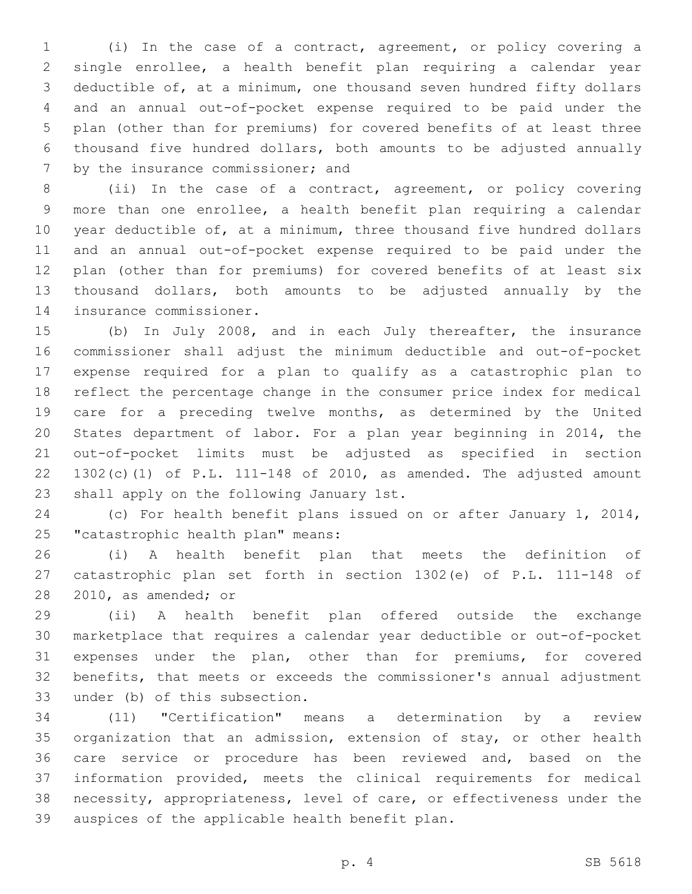(i) In the case of a contract, agreement, or policy covering a single enrollee, a health benefit plan requiring a calendar year deductible of, at a minimum, one thousand seven hundred fifty dollars and an annual out-of-pocket expense required to be paid under the plan (other than for premiums) for covered benefits of at least three thousand five hundred dollars, both amounts to be adjusted annually 7 by the insurance commissioner; and

 (ii) In the case of a contract, agreement, or policy covering more than one enrollee, a health benefit plan requiring a calendar year deductible of, at a minimum, three thousand five hundred dollars and an annual out-of-pocket expense required to be paid under the plan (other than for premiums) for covered benefits of at least six thousand dollars, both amounts to be adjusted annually by the 14 insurance commissioner.

 (b) In July 2008, and in each July thereafter, the insurance commissioner shall adjust the minimum deductible and out-of-pocket expense required for a plan to qualify as a catastrophic plan to reflect the percentage change in the consumer price index for medical care for a preceding twelve months, as determined by the United States department of labor. For a plan year beginning in 2014, the out-of-pocket limits must be adjusted as specified in section 22 1302(c)(1) of P.L. 111-148 of 2010, as amended. The adjusted amount 23 shall apply on the following January 1st.

 (c) For health benefit plans issued on or after January 1, 2014, 25 "catastrophic health plan" means:

 (i) A health benefit plan that meets the definition of catastrophic plan set forth in section 1302(e) of P.L. 111-148 of 28 2010, as amended; or

 (ii) A health benefit plan offered outside the exchange marketplace that requires a calendar year deductible or out-of-pocket expenses under the plan, other than for premiums, for covered benefits, that meets or exceeds the commissioner's annual adjustment 33 under (b) of this subsection.

 (11) "Certification" means a determination by a review organization that an admission, extension of stay, or other health care service or procedure has been reviewed and, based on the information provided, meets the clinical requirements for medical necessity, appropriateness, level of care, or effectiveness under the 39 auspices of the applicable health benefit plan.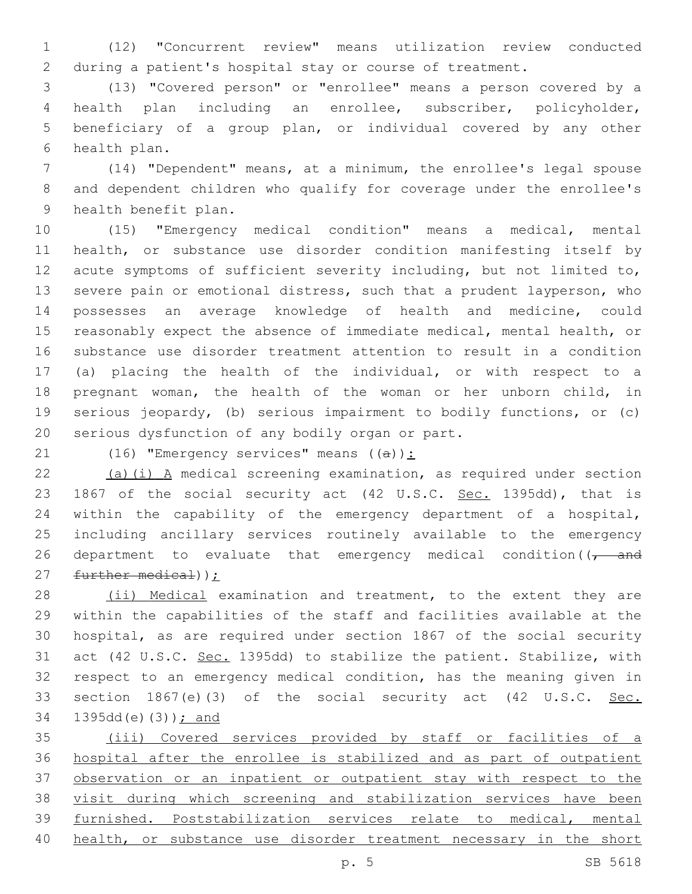(12) "Concurrent review" means utilization review conducted during a patient's hospital stay or course of treatment.

 (13) "Covered person" or "enrollee" means a person covered by a health plan including an enrollee, subscriber, policyholder, beneficiary of a group plan, or individual covered by any other 6 health plan.

 (14) "Dependent" means, at a minimum, the enrollee's legal spouse and dependent children who qualify for coverage under the enrollee's 9 health benefit plan.

 (15) "Emergency medical condition" means a medical, mental health, or substance use disorder condition manifesting itself by acute symptoms of sufficient severity including, but not limited to, severe pain or emotional distress, such that a prudent layperson, who possesses an average knowledge of health and medicine, could reasonably expect the absence of immediate medical, mental health, or substance use disorder treatment attention to result in a condition (a) placing the health of the individual, or with respect to a pregnant woman, the health of the woman or her unborn child, in serious jeopardy, (b) serious impairment to bodily functions, or (c) 20 serious dysfunction of any bodily organ or part.

21 (16) "Emergency services" means  $((a))$ :

22  $(a)(i)$  A medical screening examination, as required under section 23 1867 of the social security act (42 U.S.C. Sec. 1395dd), that is within the capability of the emergency department of a hospital, including ancillary services routinely available to the emergency 26 department to evaluate that emergency medical condition( $\sqrt{1 - a}$ 27 further medical));

28 (ii) Medical examination and treatment, to the extent they are within the capabilities of the staff and facilities available at the hospital, as are required under section 1867 of the social security 31 act (42 U.S.C. Sec. 1395dd) to stabilize the patient. Stabilize, with respect to an emergency medical condition, has the meaning given in 33 section 1867(e)(3) of the social security act (42 U.S.C. Sec. 34 1395dd(e)(3)) ; and

 (iii) Covered services provided by staff or facilities of a hospital after the enrollee is stabilized and as part of outpatient observation or an inpatient or outpatient stay with respect to the visit during which screening and stabilization services have been furnished. Poststabilization services relate to medical, mental 40 health, or substance use disorder treatment necessary in the short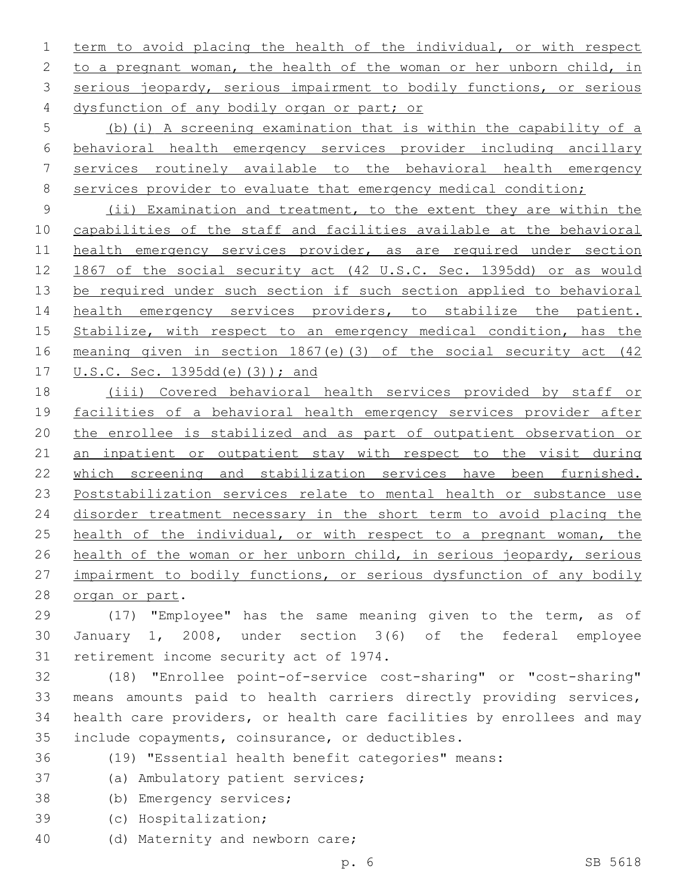term to avoid placing the health of the individual, or with respect 2 to a pregnant woman, the health of the woman or her unborn child, in 3 serious jeopardy, serious impairment to bodily functions, or serious 4 dysfunction of any bodily organ or part; or

 (b)(i) A screening examination that is within the capability of a behavioral health emergency services provider including ancillary services routinely available to the behavioral health emergency 8 services provider to evaluate that emergency medical condition;

 (ii) Examination and treatment, to the extent they are within the capabilities of the staff and facilities available at the behavioral health emergency services provider, as are required under section 1867 of the social security act (42 U.S.C. Sec. 1395dd) or as would be required under such section if such section applied to behavioral health emergency services providers, to stabilize the patient. Stabilize, with respect to an emergency medical condition, has the meaning given in section 1867(e)(3) of the social security act (42 U.S.C. Sec. 1395dd(e)(3)); and

 (iii) Covered behavioral health services provided by staff or facilities of a behavioral health emergency services provider after the enrollee is stabilized and as part of outpatient observation or 21 an inpatient or outpatient stay with respect to the visit during which screening and stabilization services have been furnished. Poststabilization services relate to mental health or substance use 24 disorder treatment necessary in the short term to avoid placing the 25 health of the individual, or with respect to a pregnant woman, the health of the woman or her unborn child, in serious jeopardy, serious impairment to bodily functions, or serious dysfunction of any bodily 28 organ or part.

 (17) "Employee" has the same meaning given to the term, as of January 1, 2008, under section 3(6) of the federal employee 31 retirement income security act of 1974.

 (18) "Enrollee point-of-service cost-sharing" or "cost-sharing" means amounts paid to health carriers directly providing services, health care providers, or health care facilities by enrollees and may 35 include copayments, coinsurance, or deductibles.

(19) "Essential health benefit categories" means:

- 37 (a) Ambulatory patient services;
- 38 (b) Emergency services;
- (c) Hospitalization;39
- 40 (d) Maternity and newborn care;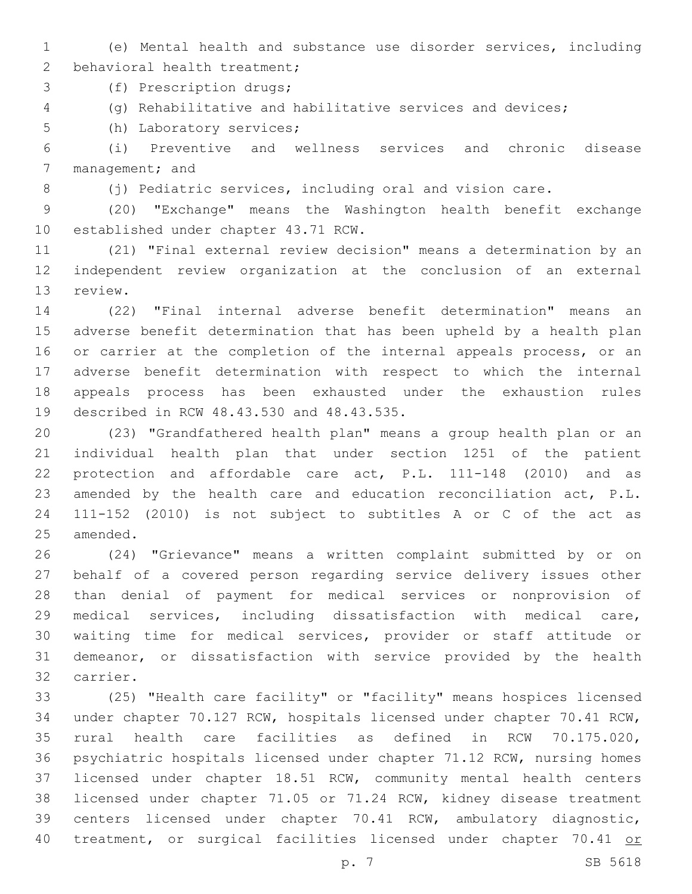(e) Mental health and substance use disorder services, including 2 behavioral health treatment;

3 (f) Prescription drugs;

(g) Rehabilitative and habilitative services and devices;

5 (h) Laboratory services;

 (i) Preventive and wellness services and chronic disease 7 management; and

8 (j) Pediatric services, including oral and vision care.

 (20) "Exchange" means the Washington health benefit exchange 10 established under chapter 43.71 RCW.

 (21) "Final external review decision" means a determination by an independent review organization at the conclusion of an external 13 review.

 (22) "Final internal adverse benefit determination" means an adverse benefit determination that has been upheld by a health plan 16 or carrier at the completion of the internal appeals process, or an adverse benefit determination with respect to which the internal appeals process has been exhausted under the exhaustion rules 19 described in RCW 48.43.530 and 48.43.535.

 (23) "Grandfathered health plan" means a group health plan or an individual health plan that under section 1251 of the patient protection and affordable care act, P.L. 111-148 (2010) and as amended by the health care and education reconciliation act, P.L. 111-152 (2010) is not subject to subtitles A or C of the act as 25 amended.

 (24) "Grievance" means a written complaint submitted by or on behalf of a covered person regarding service delivery issues other than denial of payment for medical services or nonprovision of medical services, including dissatisfaction with medical care, waiting time for medical services, provider or staff attitude or demeanor, or dissatisfaction with service provided by the health 32 carrier.

 (25) "Health care facility" or "facility" means hospices licensed under chapter 70.127 RCW, hospitals licensed under chapter 70.41 RCW, rural health care facilities as defined in RCW 70.175.020, psychiatric hospitals licensed under chapter 71.12 RCW, nursing homes licensed under chapter 18.51 RCW, community mental health centers licensed under chapter 71.05 or 71.24 RCW, kidney disease treatment centers licensed under chapter 70.41 RCW, ambulatory diagnostic, 40 treatment, or surgical facilities licensed under chapter 70.41 or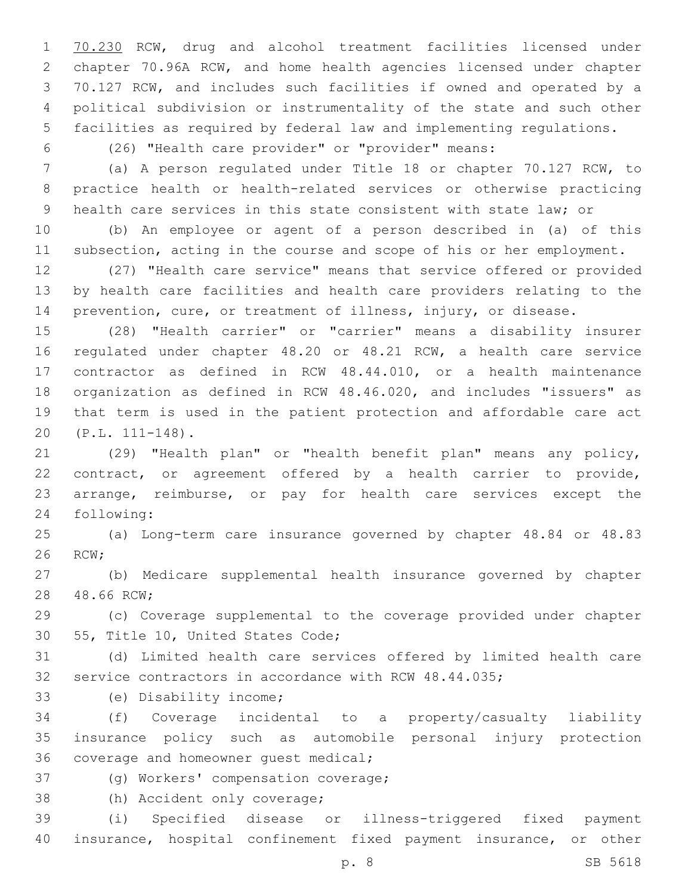70.230 RCW, drug and alcohol treatment facilities licensed under chapter 70.96A RCW, and home health agencies licensed under chapter 70.127 RCW, and includes such facilities if owned and operated by a political subdivision or instrumentality of the state and such other facilities as required by federal law and implementing regulations.

(26) "Health care provider" or "provider" means:

 (a) A person regulated under Title 18 or chapter 70.127 RCW, to practice health or health-related services or otherwise practicing health care services in this state consistent with state law; or

 (b) An employee or agent of a person described in (a) of this subsection, acting in the course and scope of his or her employment.

 (27) "Health care service" means that service offered or provided by health care facilities and health care providers relating to the prevention, cure, or treatment of illness, injury, or disease.

 (28) "Health carrier" or "carrier" means a disability insurer regulated under chapter 48.20 or 48.21 RCW, a health care service contractor as defined in RCW 48.44.010, or a health maintenance organization as defined in RCW 48.46.020, and includes "issuers" as that term is used in the patient protection and affordable care act (P.L. 111-148).20

 (29) "Health plan" or "health benefit plan" means any policy, contract, or agreement offered by a health carrier to provide, arrange, reimburse, or pay for health care services except the 24 following:

 (a) Long-term care insurance governed by chapter 48.84 or 48.83 26 RCW;

 (b) Medicare supplemental health insurance governed by chapter 28 48.66 RCW;

 (c) Coverage supplemental to the coverage provided under chapter 30 55, Title 10, United States Code;

 (d) Limited health care services offered by limited health care service contractors in accordance with RCW 48.44.035;

33 (e) Disability income;

 (f) Coverage incidental to a property/casualty liability insurance policy such as automobile personal injury protection 36 coverage and homeowner quest medical;

- 37 (g) Workers' compensation coverage;
- 38 (h) Accident only coverage;

 (i) Specified disease or illness-triggered fixed payment insurance, hospital confinement fixed payment insurance, or other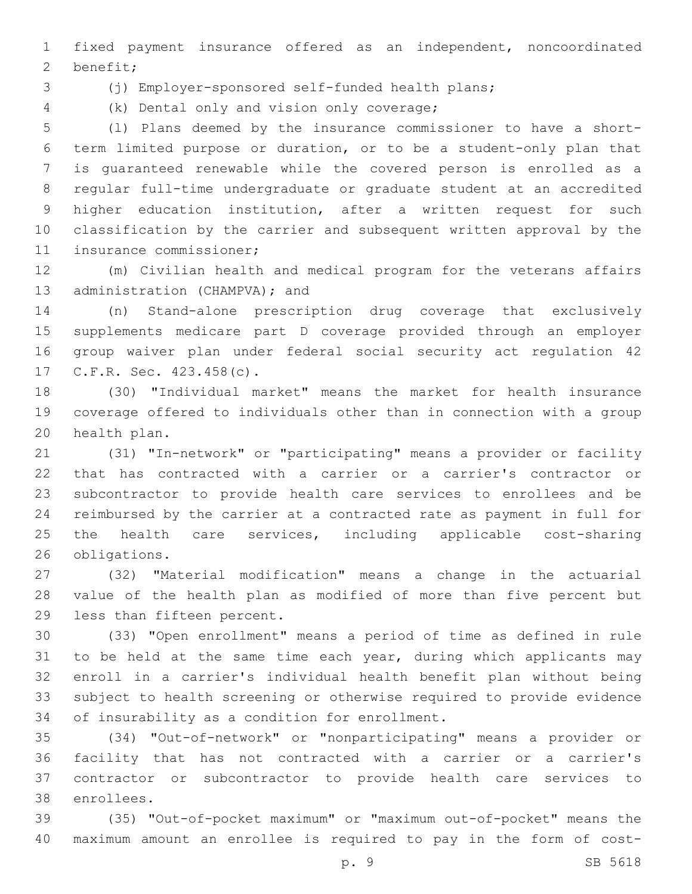fixed payment insurance offered as an independent, noncoordinated 2 benefit;

(j) Employer-sponsored self-funded health plans;

(k) Dental only and vision only coverage;4

 (l) Plans deemed by the insurance commissioner to have a short- term limited purpose or duration, or to be a student-only plan that is guaranteed renewable while the covered person is enrolled as a regular full-time undergraduate or graduate student at an accredited higher education institution, after a written request for such classification by the carrier and subsequent written approval by the 11 insurance commissioner;

 (m) Civilian health and medical program for the veterans affairs 13 administration (CHAMPVA); and

 (n) Stand-alone prescription drug coverage that exclusively supplements medicare part D coverage provided through an employer group waiver plan under federal social security act regulation 42 17 C.F.R. Sec. 423.458(c).

 (30) "Individual market" means the market for health insurance coverage offered to individuals other than in connection with a group 20 health plan.

 (31) "In-network" or "participating" means a provider or facility that has contracted with a carrier or a carrier's contractor or subcontractor to provide health care services to enrollees and be reimbursed by the carrier at a contracted rate as payment in full for 25 the health care services, including applicable cost-sharing 26 obligations.

 (32) "Material modification" means a change in the actuarial value of the health plan as modified of more than five percent but 29 less than fifteen percent.

 (33) "Open enrollment" means a period of time as defined in rule 31 to be held at the same time each year, during which applicants may enroll in a carrier's individual health benefit plan without being subject to health screening or otherwise required to provide evidence 34 of insurability as a condition for enrollment.

 (34) "Out-of-network" or "nonparticipating" means a provider or facility that has not contracted with a carrier or a carrier's contractor or subcontractor to provide health care services to 38 enrollees.

 (35) "Out-of-pocket maximum" or "maximum out-of-pocket" means the maximum amount an enrollee is required to pay in the form of cost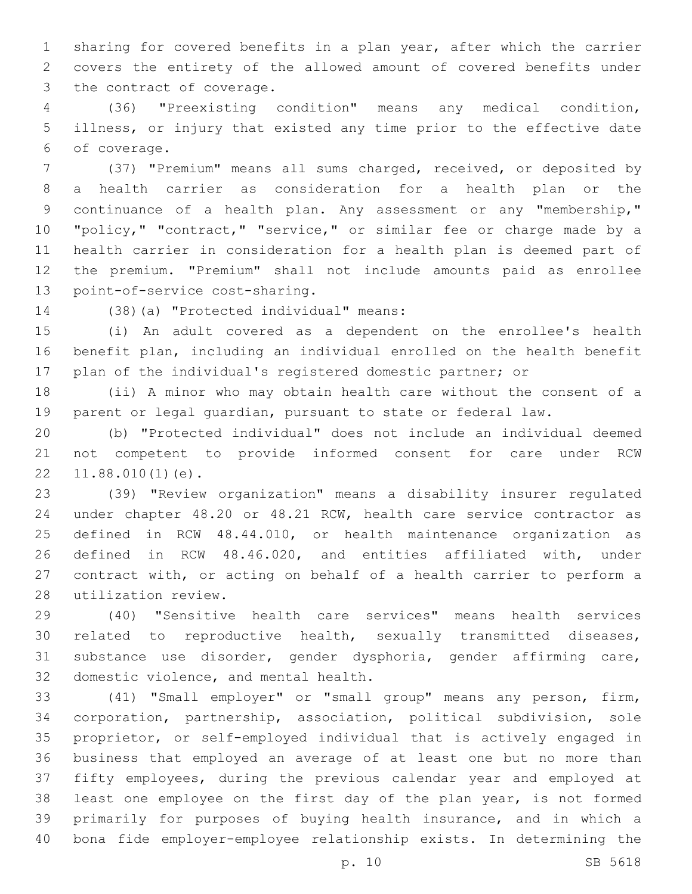sharing for covered benefits in a plan year, after which the carrier covers the entirety of the allowed amount of covered benefits under 3 the contract of coverage.

 (36) "Preexisting condition" means any medical condition, illness, or injury that existed any time prior to the effective date of coverage.6

 (37) "Premium" means all sums charged, received, or deposited by a health carrier as consideration for a health plan or the continuance of a health plan. Any assessment or any "membership," "policy," "contract," "service," or similar fee or charge made by a health carrier in consideration for a health plan is deemed part of the premium. "Premium" shall not include amounts paid as enrollee 13 point-of-service cost-sharing.

14 (38)(a) "Protected individual" means:

 (i) An adult covered as a dependent on the enrollee's health benefit plan, including an individual enrolled on the health benefit plan of the individual's registered domestic partner; or

 (ii) A minor who may obtain health care without the consent of a parent or legal guardian, pursuant to state or federal law.

 (b) "Protected individual" does not include an individual deemed not competent to provide informed consent for care under RCW  $22 \quad 11.88.010(1)(e)$ .

 (39) "Review organization" means a disability insurer regulated under chapter 48.20 or 48.21 RCW, health care service contractor as defined in RCW 48.44.010, or health maintenance organization as defined in RCW 48.46.020, and entities affiliated with, under contract with, or acting on behalf of a health carrier to perform a 28 utilization review.

 (40) "Sensitive health care services" means health services related to reproductive health, sexually transmitted diseases, substance use disorder, gender dysphoria, gender affirming care, 32 domestic violence, and mental health.

 (41) "Small employer" or "small group" means any person, firm, corporation, partnership, association, political subdivision, sole proprietor, or self-employed individual that is actively engaged in business that employed an average of at least one but no more than fifty employees, during the previous calendar year and employed at least one employee on the first day of the plan year, is not formed primarily for purposes of buying health insurance, and in which a bona fide employer-employee relationship exists. In determining the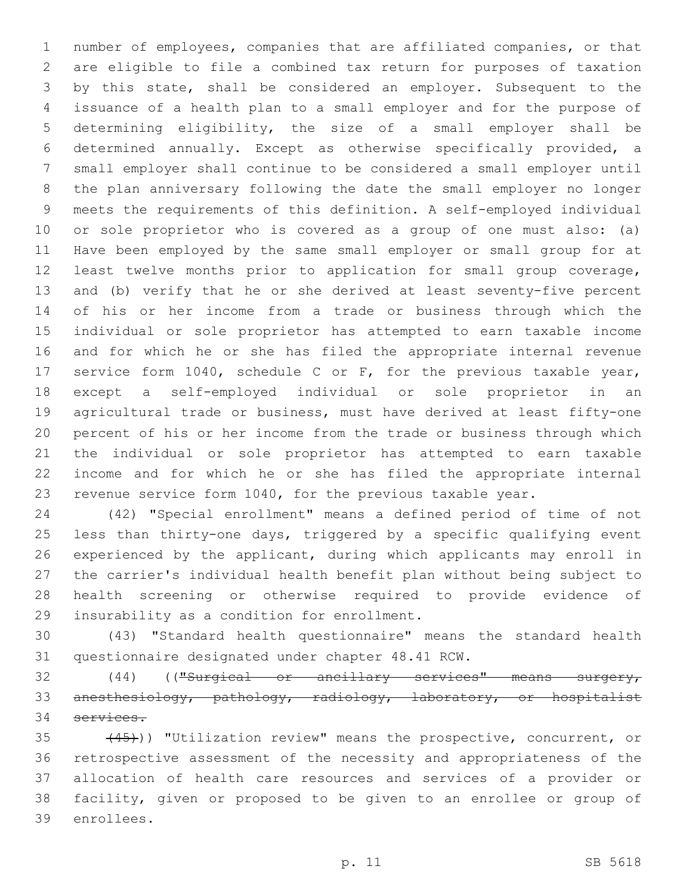number of employees, companies that are affiliated companies, or that are eligible to file a combined tax return for purposes of taxation by this state, shall be considered an employer. Subsequent to the issuance of a health plan to a small employer and for the purpose of determining eligibility, the size of a small employer shall be determined annually. Except as otherwise specifically provided, a small employer shall continue to be considered a small employer until the plan anniversary following the date the small employer no longer meets the requirements of this definition. A self-employed individual or sole proprietor who is covered as a group of one must also: (a) Have been employed by the same small employer or small group for at least twelve months prior to application for small group coverage, and (b) verify that he or she derived at least seventy-five percent of his or her income from a trade or business through which the individual or sole proprietor has attempted to earn taxable income and for which he or she has filed the appropriate internal revenue service form 1040, schedule C or F, for the previous taxable year, except a self-employed individual or sole proprietor in an agricultural trade or business, must have derived at least fifty-one percent of his or her income from the trade or business through which the individual or sole proprietor has attempted to earn taxable income and for which he or she has filed the appropriate internal revenue service form 1040, for the previous taxable year.

 (42) "Special enrollment" means a defined period of time of not less than thirty-one days, triggered by a specific qualifying event experienced by the applicant, during which applicants may enroll in the carrier's individual health benefit plan without being subject to health screening or otherwise required to provide evidence of 29 insurability as a condition for enrollment.

 (43) "Standard health questionnaire" means the standard health 31 questionnaire designated under chapter 48.41 RCW.

 (44) (("Surgical or ancillary services" means surgery, anesthesiology, pathology, radiology, laboratory, or hospitalist services.

35 (45))) "Utilization review" means the prospective, concurrent, or retrospective assessment of the necessity and appropriateness of the allocation of health care resources and services of a provider or facility, given or proposed to be given to an enrollee or group of 39 enrollees.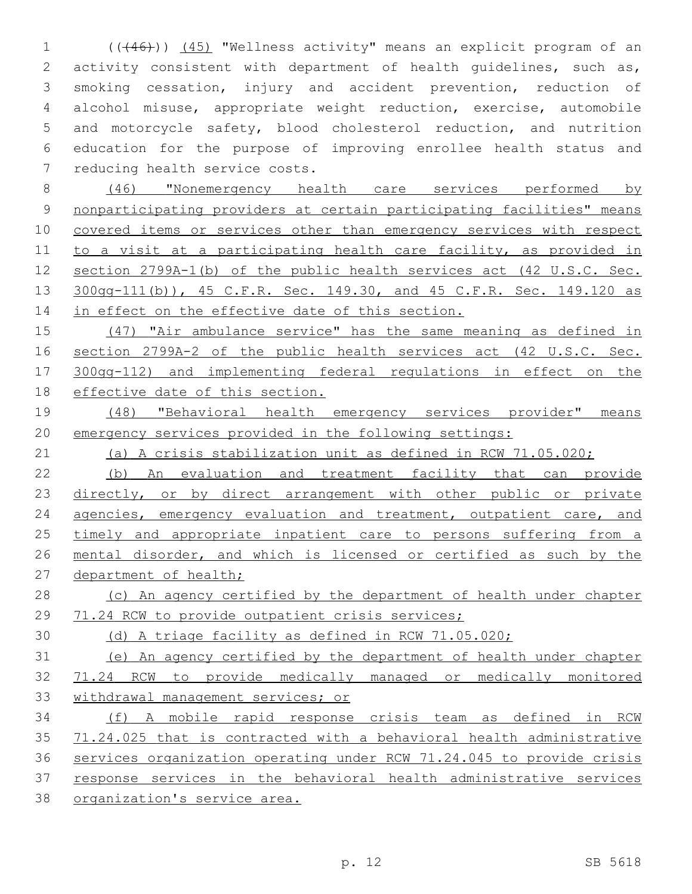(((46))) (45) "Wellness activity" means an explicit program of an activity consistent with department of health guidelines, such as, smoking cessation, injury and accident prevention, reduction of alcohol misuse, appropriate weight reduction, exercise, automobile and motorcycle safety, blood cholesterol reduction, and nutrition education for the purpose of improving enrollee health status and 7 reducing health service costs.

 (46) "Nonemergency health care services performed by nonparticipating providers at certain participating facilities" means 10 covered items or services other than emergency services with respect to a visit at a participating health care facility, as provided in section 2799A-1(b) of the public health services act (42 U.S.C. Sec. 300gg-111(b)), 45 C.F.R. Sec. 149.30, and 45 C.F.R. Sec. 149.120 as 14 in effect on the effective date of this section.

 (47) "Air ambulance service" has the same meaning as defined in section 2799A-2 of the public health services act (42 U.S.C. Sec. 300gg-112) and implementing federal regulations in effect on the effective date of this section.

 (48) "Behavioral health emergency services provider" means emergency services provided in the following settings:

(a) A crisis stabilization unit as defined in RCW 71.05.020;

 (b) An evaluation and treatment facility that can provide 23 directly, or by direct arrangement with other public or private 24 agencies, emergency evaluation and treatment, outpatient care, and 25 timely and appropriate inpatient care to persons suffering from a mental disorder, and which is licensed or certified as such by the 27 department of health;

28 (c) An agency certified by the department of health under chapter 29 71.24 RCW to provide outpatient crisis services;

(d) A triage facility as defined in RCW 71.05.020;

 (e) An agency certified by the department of health under chapter 71.24 RCW to provide medically managed or medically monitored withdrawal management services; or

 (f) A mobile rapid response crisis team as defined in RCW 71.24.025 that is contracted with a behavioral health administrative services organization operating under RCW 71.24.045 to provide crisis response services in the behavioral health administrative services organization's service area.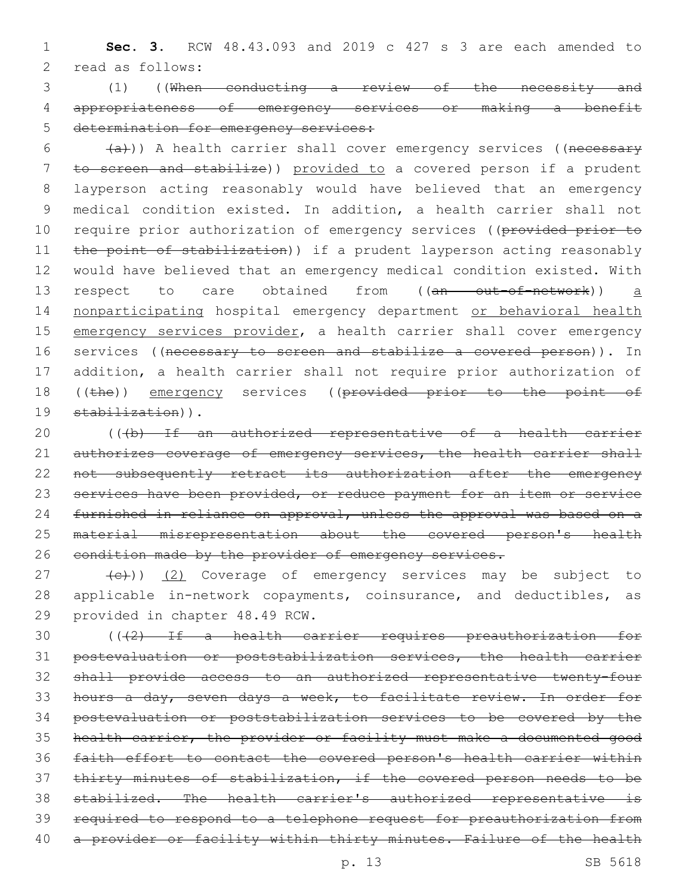1 **Sec. 3.** RCW 48.43.093 and 2019 c 427 s 3 are each amended to 2 read as follows:

3 (1) ((When conducting a review of the necessity and 4 appropriateness of emergency services or making a benefit 5 determination for emergency services:

 $(4a)$ )) A health carrier shall cover emergency services ((necessary 7 to screen and stabilize)) provided to a covered person if a prudent 8 layperson acting reasonably would have believed that an emergency 9 medical condition existed. In addition, a health carrier shall not 10 require prior authorization of emergency services ((provided prior to 11 the point of stabilization)) if a prudent layperson acting reasonably 12 would have believed that an emergency medical condition existed. With 13 respect to care obtained from ((an out-of-network)) a 14 nonparticipating hospital emergency department or behavioral health 15 emergency services provider, a health carrier shall cover emergency 16 services ((necessary to screen and stabilize a covered person)). In 17 addition, a health carrier shall not require prior authorization of 18 ((the)) emergency services ((provided prior to the point of 19 stabilization)).

20 (((b) If an authorized representative of a health carrier 21 authorizes coverage of emergency services, the health carrier shall 22 not subsequently retract its authorization after the emergency 23 services have been provided, or reduce payment for an item or service 24 furnished in reliance on approval, unless the approval was based on a 25 material misrepresentation about the covered person's health 26 eondition made by the provider of emergency services.

27 (e)) (2) Coverage of emergency services may be subject to 28 applicable in-network copayments, coinsurance, and deductibles, as 29 provided in chapter 48.49 RCW.

 (((2) If a health carrier requires preauthorization for postevaluation or poststabilization services, the health carrier shall provide access to an authorized representative twenty-four hours a day, seven days a week, to facilitate review. In order for postevaluation or poststabilization services to be covered by the health carrier, the provider or facility must make a documented good faith effort to contact the covered person's health carrier within thirty minutes of stabilization, if the covered person needs to be stabilized. The health carrier's authorized representative is required to respond to a telephone request for preauthorization from 40 a provider or facility within thirty minutes. Failure of the health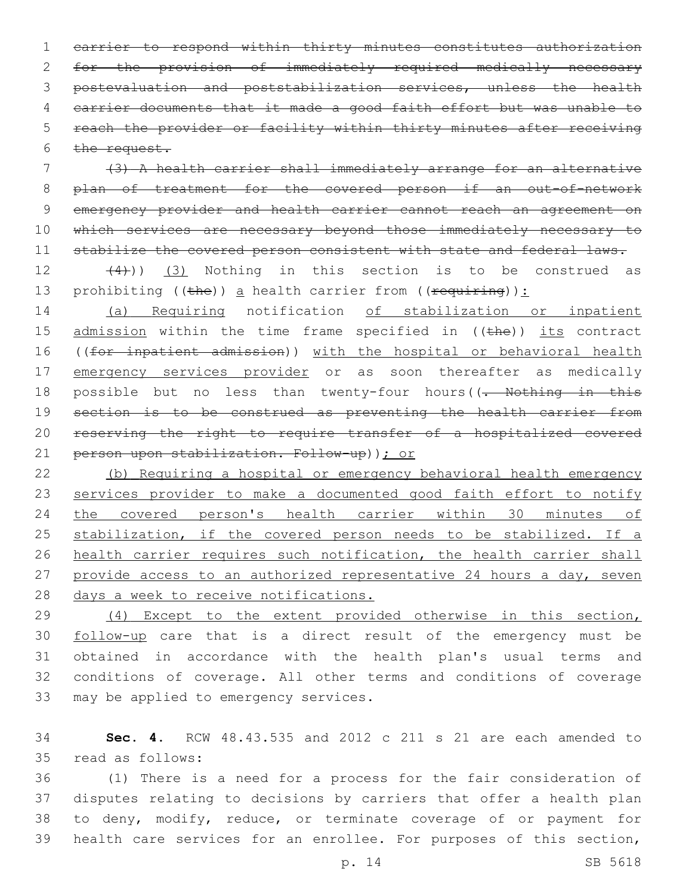carrier to respond within thirty minutes constitutes authorization for the provision of immediately required medically necessary postevaluation and poststabilization services, unless the health carrier documents that it made a good faith effort but was unable to reach the provider or facility within thirty minutes after receiving  $the$  request.

 (3) A health carrier shall immediately arrange for an alternative 8 plan of treatment for the covered person if an out-of-network emergency provider and health carrier cannot reach an agreement on 10 which services are necessary beyond those immediately necessary to 11 stabilize the covered person consistent with state and federal laws.

 $(4)$ ))  $(3)$  Nothing in this section is to be construed as 13 prohibiting ((the)) a health carrier from ((requiring)):

 (a) Requiring notification of stabilization or inpatient 15 admission within the time frame specified in ((the)) its contract ((for inpatient admission)) with the hospital or behavioral health 17 emergency services provider or as soon thereafter as medically 18 possible but no less than twenty-four hours((<del>. Nothing in this</del> 19 section is to be construed as preventing the health carrier from reserving the right to require transfer of a hospitalized covered person upon stabilization. Follow-up)); or

 (b) Requiring a hospital or emergency behavioral health emergency 23 services provider to make a documented good faith effort to notify the covered person's health carrier within 30 minutes of 25 stabilization, if the covered person needs to be stabilized. If a health carrier requires such notification, the health carrier shall 27 provide access to an authorized representative 24 hours a day, seven days a week to receive notifications.

 (4) Except to the extent provided otherwise in this section, follow-up care that is a direct result of the emergency must be obtained in accordance with the health plan's usual terms and conditions of coverage. All other terms and conditions of coverage 33 may be applied to emergency services.

 **Sec. 4.** RCW 48.43.535 and 2012 c 211 s 21 are each amended to read as follows:35

 (1) There is a need for a process for the fair consideration of disputes relating to decisions by carriers that offer a health plan to deny, modify, reduce, or terminate coverage of or payment for health care services for an enrollee. For purposes of this section,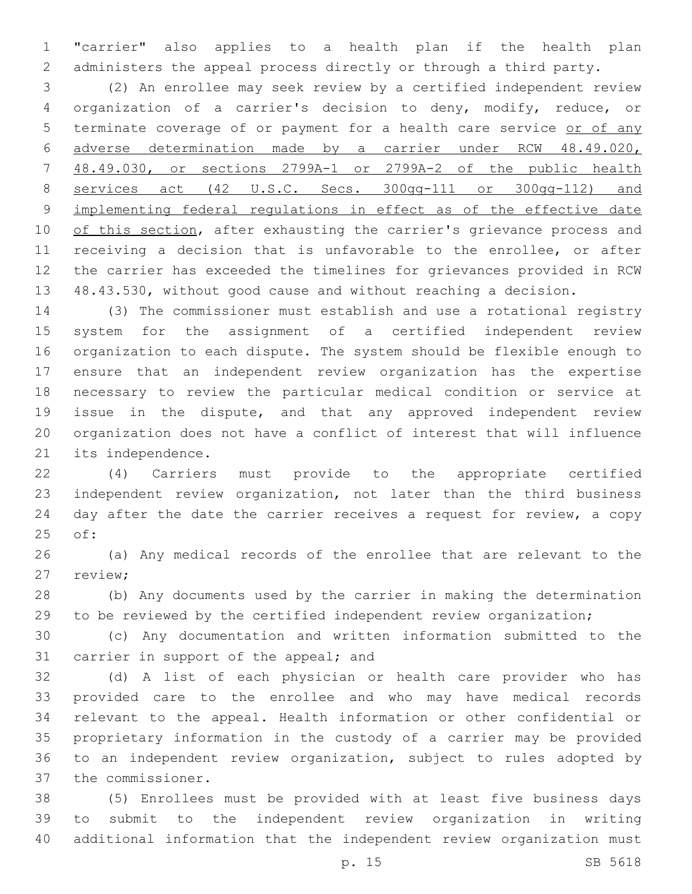"carrier" also applies to a health plan if the health plan administers the appeal process directly or through a third party.

 (2) An enrollee may seek review by a certified independent review organization of a carrier's decision to deny, modify, reduce, or terminate coverage of or payment for a health care service or of any adverse determination made by a carrier under RCW 48.49.020, 48.49.030, or sections 2799A-1 or 2799A-2 of the public health services act (42 U.S.C. Secs. 300gg-111 or 300gg-112) and implementing federal regulations in effect as of the effective date 10 of this section, after exhausting the carrier's grievance process and receiving a decision that is unfavorable to the enrollee, or after the carrier has exceeded the timelines for grievances provided in RCW 48.43.530, without good cause and without reaching a decision.

 (3) The commissioner must establish and use a rotational registry system for the assignment of a certified independent review organization to each dispute. The system should be flexible enough to ensure that an independent review organization has the expertise necessary to review the particular medical condition or service at issue in the dispute, and that any approved independent review organization does not have a conflict of interest that will influence 21 its independence.

 (4) Carriers must provide to the appropriate certified independent review organization, not later than the third business day after the date the carrier receives a request for review, a copy 25 of:

 (a) Any medical records of the enrollee that are relevant to the 27 review;

 (b) Any documents used by the carrier in making the determination to be reviewed by the certified independent review organization;

 (c) Any documentation and written information submitted to the 31 carrier in support of the appeal; and

 (d) A list of each physician or health care provider who has provided care to the enrollee and who may have medical records relevant to the appeal. Health information or other confidential or proprietary information in the custody of a carrier may be provided to an independent review organization, subject to rules adopted by 37 the commissioner.

 (5) Enrollees must be provided with at least five business days to submit to the independent review organization in writing additional information that the independent review organization must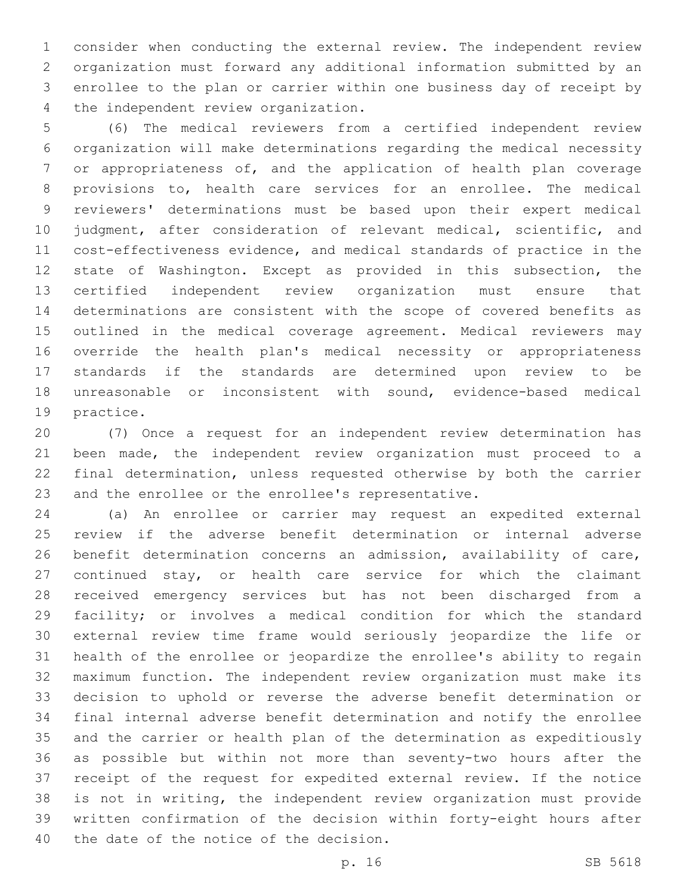consider when conducting the external review. The independent review organization must forward any additional information submitted by an enrollee to the plan or carrier within one business day of receipt by 4 the independent review organization.

 (6) The medical reviewers from a certified independent review organization will make determinations regarding the medical necessity or appropriateness of, and the application of health plan coverage provisions to, health care services for an enrollee. The medical reviewers' determinations must be based upon their expert medical judgment, after consideration of relevant medical, scientific, and cost-effectiveness evidence, and medical standards of practice in the state of Washington. Except as provided in this subsection, the certified independent review organization must ensure that determinations are consistent with the scope of covered benefits as outlined in the medical coverage agreement. Medical reviewers may override the health plan's medical necessity or appropriateness standards if the standards are determined upon review to be unreasonable or inconsistent with sound, evidence-based medical 19 practice.

 (7) Once a request for an independent review determination has been made, the independent review organization must proceed to a final determination, unless requested otherwise by both the carrier and the enrollee or the enrollee's representative.

 (a) An enrollee or carrier may request an expedited external review if the adverse benefit determination or internal adverse benefit determination concerns an admission, availability of care, continued stay, or health care service for which the claimant received emergency services but has not been discharged from a facility; or involves a medical condition for which the standard external review time frame would seriously jeopardize the life or health of the enrollee or jeopardize the enrollee's ability to regain maximum function. The independent review organization must make its decision to uphold or reverse the adverse benefit determination or final internal adverse benefit determination and notify the enrollee and the carrier or health plan of the determination as expeditiously as possible but within not more than seventy-two hours after the receipt of the request for expedited external review. If the notice is not in writing, the independent review organization must provide written confirmation of the decision within forty-eight hours after 40 the date of the notice of the decision.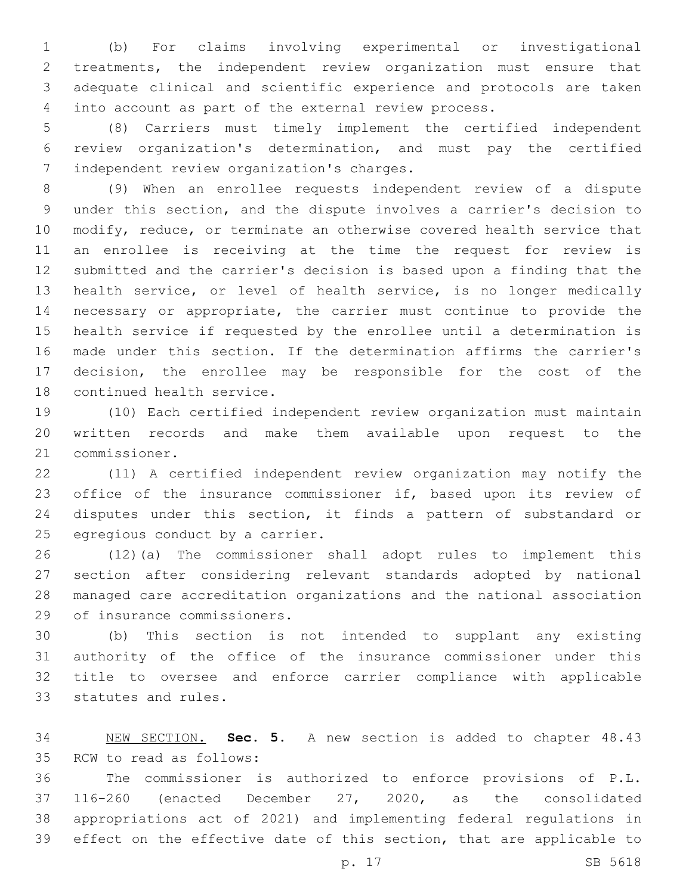(b) For claims involving experimental or investigational treatments, the independent review organization must ensure that adequate clinical and scientific experience and protocols are taken into account as part of the external review process.

 (8) Carriers must timely implement the certified independent review organization's determination, and must pay the certified 7 independent review organization's charges.

 (9) When an enrollee requests independent review of a dispute under this section, and the dispute involves a carrier's decision to modify, reduce, or terminate an otherwise covered health service that an enrollee is receiving at the time the request for review is submitted and the carrier's decision is based upon a finding that the health service, or level of health service, is no longer medically necessary or appropriate, the carrier must continue to provide the health service if requested by the enrollee until a determination is made under this section. If the determination affirms the carrier's decision, the enrollee may be responsible for the cost of the 18 continued health service.

 (10) Each certified independent review organization must maintain written records and make them available upon request to the 21 commissioner.

 (11) A certified independent review organization may notify the 23 office of the insurance commissioner if, based upon its review of disputes under this section, it finds a pattern of substandard or 25 egregious conduct by a carrier.

 (12)(a) The commissioner shall adopt rules to implement this section after considering relevant standards adopted by national managed care accreditation organizations and the national association 29 of insurance commissioners.

 (b) This section is not intended to supplant any existing authority of the office of the insurance commissioner under this title to oversee and enforce carrier compliance with applicable 33 statutes and rules.

 NEW SECTION. **Sec. 5.** A new section is added to chapter 48.43 35 RCW to read as follows:

 The commissioner is authorized to enforce provisions of P.L. 116-260 (enacted December 27, 2020, as the consolidated appropriations act of 2021) and implementing federal regulations in effect on the effective date of this section, that are applicable to

p. 17 SB 5618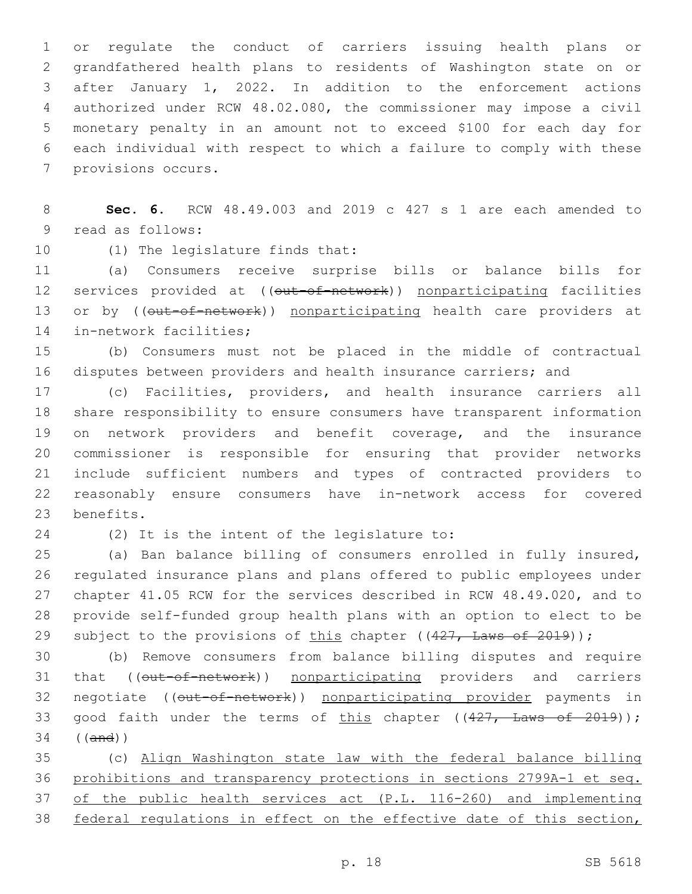or regulate the conduct of carriers issuing health plans or grandfathered health plans to residents of Washington state on or after January 1, 2022. In addition to the enforcement actions authorized under RCW 48.02.080, the commissioner may impose a civil monetary penalty in an amount not to exceed \$100 for each day for each individual with respect to which a failure to comply with these 7 provisions occurs.

 **Sec. 6.** RCW 48.49.003 and 2019 c 427 s 1 are each amended to 9 read as follows:

10 (1) The legislature finds that:

 (a) Consumers receive surprise bills or balance bills for 12 services provided at ((out-of-network)) nonparticipating facilities 13 or by ((out-of-network)) nonparticipating health care providers at 14 in-network facilities;

 (b) Consumers must not be placed in the middle of contractual disputes between providers and health insurance carriers; and

 (c) Facilities, providers, and health insurance carriers all share responsibility to ensure consumers have transparent information on network providers and benefit coverage, and the insurance commissioner is responsible for ensuring that provider networks include sufficient numbers and types of contracted providers to reasonably ensure consumers have in-network access for covered 23 benefits.

24 (2) It is the intent of the legislature to:

 (a) Ban balance billing of consumers enrolled in fully insured, regulated insurance plans and plans offered to public employees under chapter 41.05 RCW for the services described in RCW 48.49.020, and to provide self-funded group health plans with an option to elect to be 29 subject to the provisions of this chapter ((427, Laws of 2019));

 (b) Remove consumers from balance billing disputes and require 31 that ((out-of-network)) nonparticipating providers and carriers 32 negotiate ((out-of-network)) nonparticipating provider payments in 33 good faith under the terms of this chapter  $((427, \text{ Laws of } 2019));$ ((and))

 (c) Align Washington state law with the federal balance billing prohibitions and transparency protections in sections 2799A-1 et seq. of the public health services act (P.L. 116-260) and implementing federal regulations in effect on the effective date of this section,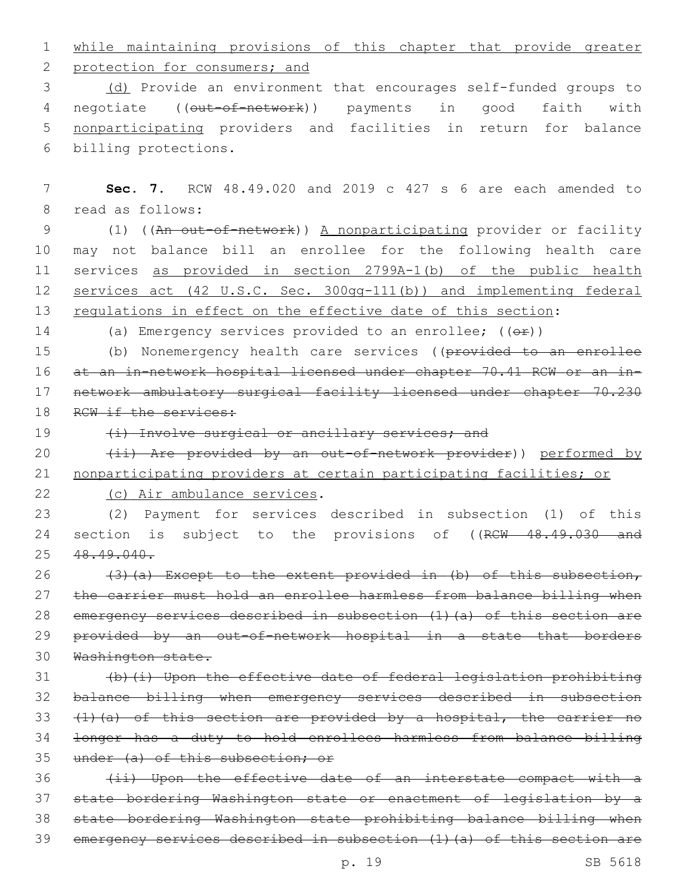1 while maintaining provisions of this chapter that provide greater

2 protection for consumers; and

3 (d) Provide an environment that encourages self-funded groups to 4 negotiate ((out-of-network)) payments in good faith with 5 nonparticipating providers and facilities in return for balance 6 billing protections.

7 **Sec. 7.** RCW 48.49.020 and 2019 c 427 s 6 are each amended to 8 read as follows: 9 (1) ((An out-of-network)) A nonparticipating provider or facility 10 may not balance bill an enrollee for the following health care 11 services as provided in section 2799A-1(b) of the public health 12 services act (42 U.S.C. Sec. 300gg-111(b)) and implementing federal 13 regulations in effect on the effective date of this section: 14 (a) Emergency services provided to an enrollee;  $((\theta \cdot \hat{r}))$ 15 (b) Nonemergency health care services ((provided to an enrollee 16 at an in-network hospital licensed under chapter 70.41 RCW or an in-17 network ambulatory surgical facility licensed under chapter 70.230 18 RCW if the services: 19 (i) Involve surgical or ancillary services; and 20 (ii) Are provided by an out-of-network provider)) performed by 21 nonparticipating providers at certain participating facilities; or 22 (c) Air ambulance services. 23 (2) Payment for services described in subsection (1) of this 24 section is subject to the provisions of ((RCW 48.49.030 and 25 48.49.040. 26  $(3)$  (a) Except to the extent provided in (b) of this subsection,

 the carrier must hold an enrollee harmless from balance billing when emergency services described in subsection (1)(a) of this section are 29 provided by an out-of-network hospital in a state that borders Washington state.

 (b)(i) Upon the effective date of federal legislation prohibiting balance billing when emergency services described in subsection  $(1)$   $(a)$  of this section are provided by a hospital, the carrier no longer has a duty to hold enrollees harmless from balance billing 35 under (a) of this subsection; or

36 (ii) Upon the effective date of an interstate compact with a state bordering Washington state or enactment of legislation by a state bordering Washington state prohibiting balance billing when emergency services described in subsection (1)(a) of this section are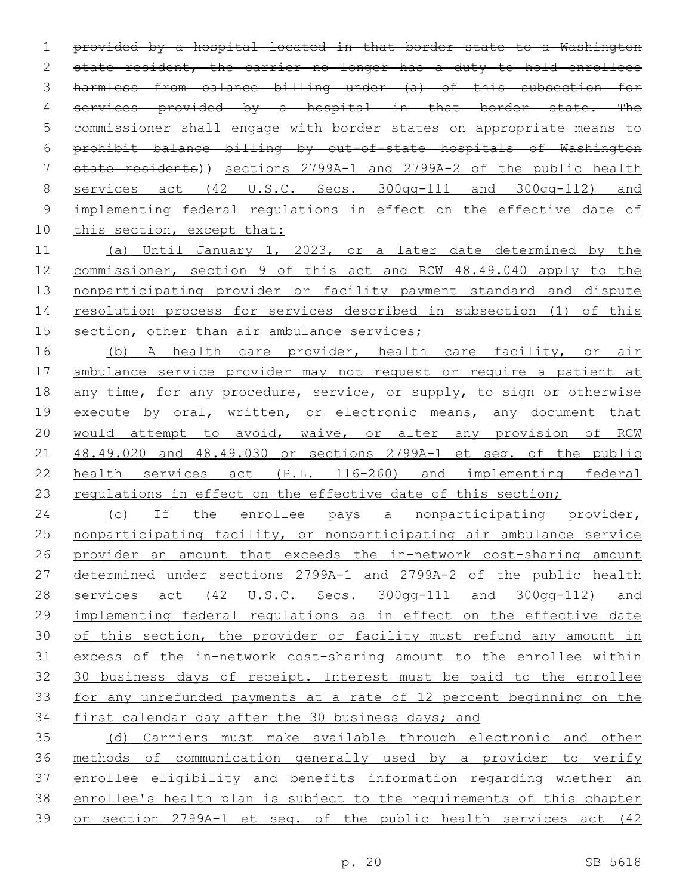provided by a hospital located in that border state to a Washington 2 state resident, the carrier no longer has a duty to hold enrollees harmless from balance billing under (a) of this subsection for 4 services provided by a hospital in that border state. The commissioner shall engage with border states on appropriate means to prohibit balance billing by out-of-state hospitals of Washington state residents)) sections 2799A-1 and 2799A-2 of the public health services act (42 U.S.C. Secs. 300gg-111 and 300gg-112) and implementing federal regulations in effect on the effective date of 10 this section, except that:

 (a) Until January 1, 2023, or a later date determined by the commissioner, section 9 of this act and RCW 48.49.040 apply to the nonparticipating provider or facility payment standard and dispute resolution process for services described in subsection (1) of this 15 section, other than air ambulance services;

16 (b) A health care provider, health care facility, or air ambulance service provider may not request or require a patient at 18 any time, for any procedure, service, or supply, to sign or otherwise 19 execute by oral, written, or electronic means, any document that would attempt to avoid, waive, or alter any provision of RCW 48.49.020 and 48.49.030 or sections 2799A-1 et seq. of the public health services act (P.L. 116-260) and implementing federal 23 regulations in effect on the effective date of this section;

24 (c) If the enrollee pays a nonparticipating provider, nonparticipating facility, or nonparticipating air ambulance service provider an amount that exceeds the in-network cost-sharing amount determined under sections 2799A-1 and 2799A-2 of the public health services act (42 U.S.C. Secs. 300gg-111 and 300gg-112) and implementing federal regulations as in effect on the effective date of this section, the provider or facility must refund any amount in excess of the in-network cost-sharing amount to the enrollee within 30 business days of receipt. Interest must be paid to the enrollee for any unrefunded payments at a rate of 12 percent beginning on the first calendar day after the 30 business days; and

 (d) Carriers must make available through electronic and other methods of communication generally used by a provider to verify enrollee eligibility and benefits information regarding whether an enrollee's health plan is subject to the requirements of this chapter or section 2799A-1 et seq. of the public health services act (42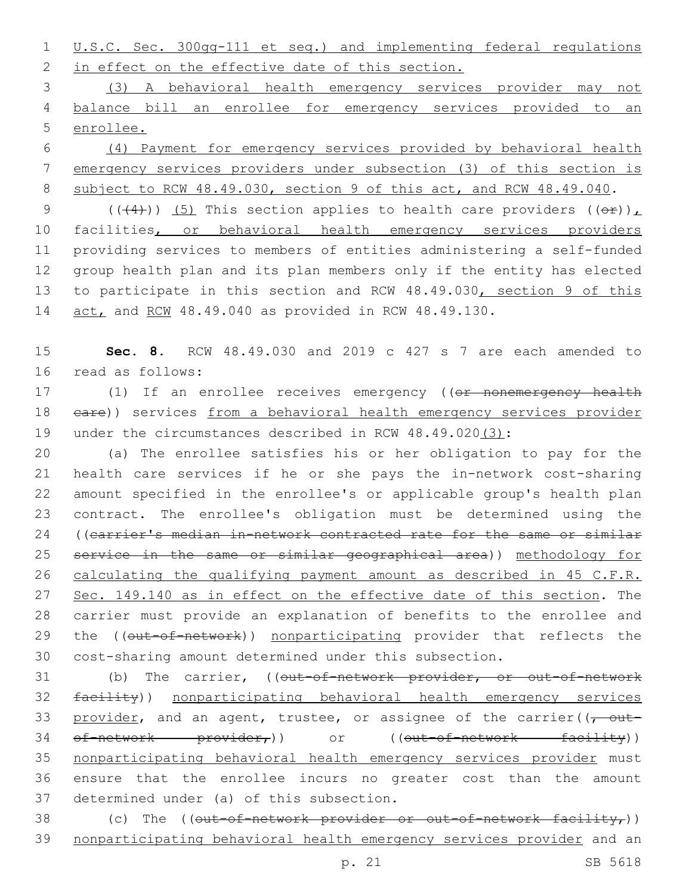1 U.S.C. Sec. 300gg-111 et seq.) and implementing federal regulations 2 in effect on the effective date of this section.

3 (3) A behavioral health emergency services provider may not 4 balance bill an enrollee for emergency services provided to an 5 enrollee.

6 (4) Payment for emergency services provided by behavioral health 7 emergency services providers under subsection (3) of this section is 8 subject to RCW 48.49.030, section 9 of this act, and RCW 48.49.040.

9 (( $(4)$ )) (5) This section applies to health care providers ( $(e^E)$ ), 10 facilities, or behavioral health emergency services providers 11 providing services to members of entities administering a self-funded 12 group health plan and its plan members only if the entity has elected 13 to participate in this section and RCW 48.49.030, section 9 of this 14 act, and RCW 48.49.040 as provided in RCW 48.49.130.

15 **Sec. 8.** RCW 48.49.030 and 2019 c 427 s 7 are each amended to 16 read as follows:

17 (1) If an enrollee receives emergency ((or nonemergency health 18 eare)) services from a behavioral health emergency services provider 19 under the circumstances described in RCW 48.49.020(3):

 (a) The enrollee satisfies his or her obligation to pay for the health care services if he or she pays the in-network cost-sharing amount specified in the enrollee's or applicable group's health plan contract. The enrollee's obligation must be determined using the 24 ((carrier's median in-network contracted rate for the same or similar service in the same or similar geographical area)) methodology for calculating the qualifying payment amount as described in 45 C.F.R. 27 Sec. 149.140 as in effect on the effective date of this section. The carrier must provide an explanation of benefits to the enrollee and 29 the ((out-of-network)) nonparticipating provider that reflects the cost-sharing amount determined under this subsection.

31 (b) The carrier, ((out-of-network provider, or out-of-network 32 facility)) nonparticipating behavioral health emergency services 33 provider, and an agent, trustee, or assignee of the carrier( $\sqrt{\tau}$  out-34 of-network provider,) or ((out-of-network facility)) 35 nonparticipating behavioral health emergency services provider must 36 ensure that the enrollee incurs no greater cost than the amount 37 determined under (a) of this subsection.

38 (c) The  $((\text{out-of-network-provider or out-of-network factor}))$ 39 nonparticipating behavioral health emergency services provider and an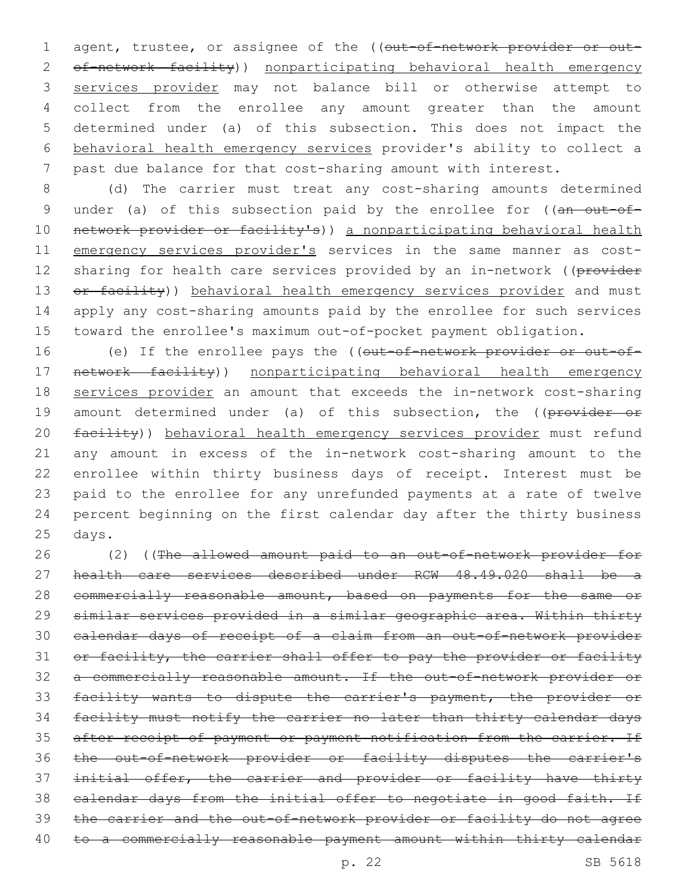1 agent, trustee, or assignee of the ((out-of-network provider or out-2 of-network facility)) nonparticipating behavioral health emergency services provider may not balance bill or otherwise attempt to collect from the enrollee any amount greater than the amount determined under (a) of this subsection. This does not impact the behavioral health emergency services provider's ability to collect a past due balance for that cost-sharing amount with interest.

8 (d) The carrier must treat any cost-sharing amounts determined 9 under (a) of this subsection paid by the enrollee for ((an out-of-10 network provider or facility's)) a nonparticipating behavioral health 11 emergency services provider's services in the same manner as cost-12 sharing for health care services provided by an in-network ((provider 13 or facility)) behavioral health emergency services provider and must 14 apply any cost-sharing amounts paid by the enrollee for such services 15 toward the enrollee's maximum out-of-pocket payment obligation.

16 (e) If the enrollee pays the ((out-of-network provider or out-of-17 network facility)) nonparticipating behavioral health emergency 18 services provider an amount that exceeds the in-network cost-sharing 19 amount determined under (a) of this subsection, the ((provider or 20 facility)) behavioral health emergency services provider must refund 21 any amount in excess of the in-network cost-sharing amount to the 22 enrollee within thirty business days of receipt. Interest must be 23 paid to the enrollee for any unrefunded payments at a rate of twelve 24 percent beginning on the first calendar day after the thirty business 25 days.

 (2) ((The allowed amount paid to an out-of-network provider for health care services described under RCW 48.49.020 shall be a 28 commercially reasonable amount, based on payments for the same or similar services provided in a similar geographic area. Within thirty calendar days of receipt of a claim from an out-of-network provider 31 or facility, the carrier shall offer to pay the provider or facility a commercially reasonable amount. If the out-of-network provider or facility wants to dispute the carrier's payment, the provider or facility must notify the carrier no later than thirty calendar days 35 after receipt of payment or payment notification from the carrier. If the out-of-network provider or facility disputes the carrier's 37 initial offer, the carrier and provider or facility have thirty calendar days from the initial offer to negotiate in good faith. If the carrier and the out-of-network provider or facility do not agree 40 to a commercially reasonable payment amount within thirty calendar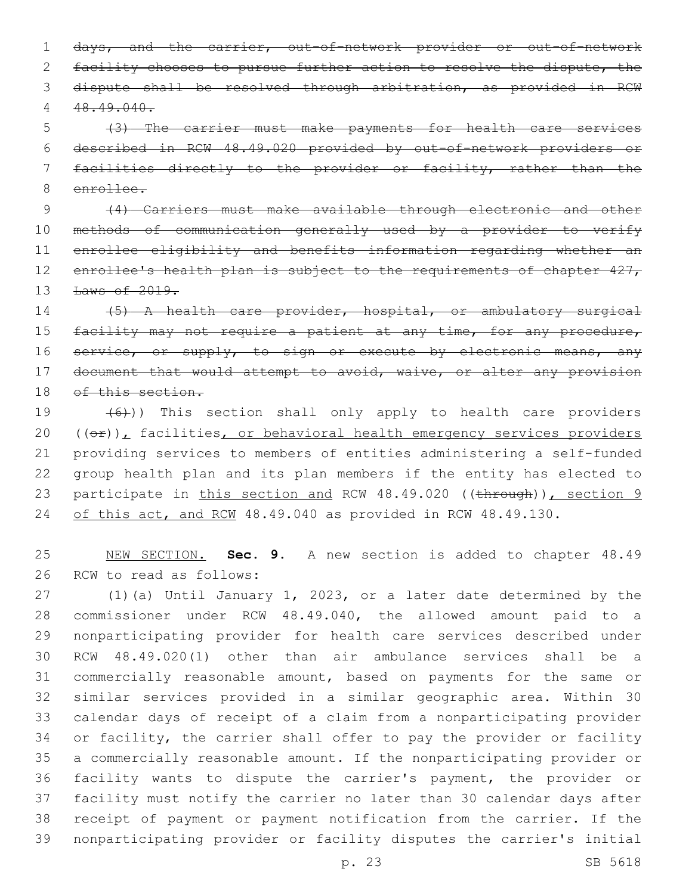days, and the carrier, out-of-network provider or out-of-network 2 facility chooses to pursue further action to resolve the dispute, the dispute shall be resolved through arbitration, as provided in RCW 48.49.040.

 (3) The carrier must make payments for health care services described in RCW 48.49.020 provided by out-of-network providers or facilities directly to the provider or facility, rather than the enrollee.

 (4) Carriers must make available through electronic and other methods of communication generally used by a provider to verify enrollee eligibility and benefits information regarding whether an 12 enrollee's health plan is subject to the requirements of chapter 427, **Laws of 2019.** 

 (5) A health care provider, hospital, or ambulatory surgical 15 facility may not require a patient at any time, for any procedure, 16 service, or supply, to sign or execute by electronic means, any 17 document that would attempt to avoid, waive, or alter any provision 18 of this section.

 $(6)$ )) This section shall only apply to health care providers  $((\theta \oplus))_L$  facilities, or behavioral health emergency services providers providing services to members of entities administering a self-funded group health plan and its plan members if the entity has elected to 23 participate in this section and RCW 48.49.020 ((through)), section 9 24 of this act, and RCW 48.49.040 as provided in RCW 48.49.130.

 NEW SECTION. **Sec. 9.** A new section is added to chapter 48.49 26 RCW to read as follows:

 (1)(a) Until January 1, 2023, or a later date determined by the commissioner under RCW 48.49.040, the allowed amount paid to a nonparticipating provider for health care services described under RCW 48.49.020(1) other than air ambulance services shall be a commercially reasonable amount, based on payments for the same or similar services provided in a similar geographic area. Within 30 calendar days of receipt of a claim from a nonparticipating provider or facility, the carrier shall offer to pay the provider or facility a commercially reasonable amount. If the nonparticipating provider or facility wants to dispute the carrier's payment, the provider or facility must notify the carrier no later than 30 calendar days after receipt of payment or payment notification from the carrier. If the nonparticipating provider or facility disputes the carrier's initial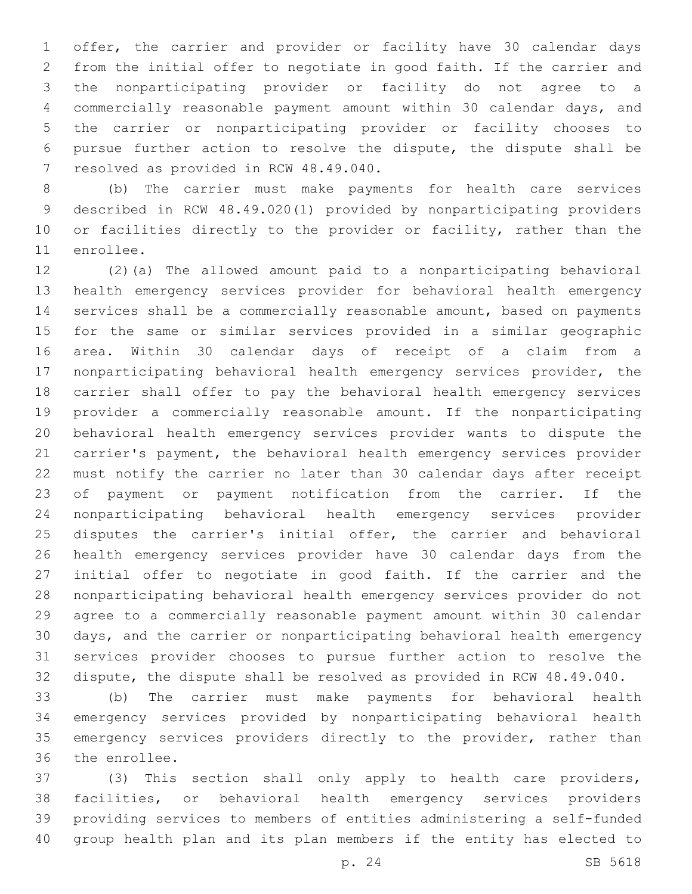offer, the carrier and provider or facility have 30 calendar days from the initial offer to negotiate in good faith. If the carrier and the nonparticipating provider or facility do not agree to a commercially reasonable payment amount within 30 calendar days, and the carrier or nonparticipating provider or facility chooses to pursue further action to resolve the dispute, the dispute shall be 7 resolved as provided in RCW 48.49.040.

 (b) The carrier must make payments for health care services described in RCW 48.49.020(1) provided by nonparticipating providers 10 or facilities directly to the provider or facility, rather than the 11 enrollee.

 (2)(a) The allowed amount paid to a nonparticipating behavioral health emergency services provider for behavioral health emergency services shall be a commercially reasonable amount, based on payments for the same or similar services provided in a similar geographic area. Within 30 calendar days of receipt of a claim from a nonparticipating behavioral health emergency services provider, the carrier shall offer to pay the behavioral health emergency services provider a commercially reasonable amount. If the nonparticipating behavioral health emergency services provider wants to dispute the carrier's payment, the behavioral health emergency services provider must notify the carrier no later than 30 calendar days after receipt of payment or payment notification from the carrier. If the nonparticipating behavioral health emergency services provider 25 disputes the carrier's initial offer, the carrier and behavioral health emergency services provider have 30 calendar days from the initial offer to negotiate in good faith. If the carrier and the nonparticipating behavioral health emergency services provider do not agree to a commercially reasonable payment amount within 30 calendar days, and the carrier or nonparticipating behavioral health emergency services provider chooses to pursue further action to resolve the dispute, the dispute shall be resolved as provided in RCW 48.49.040.

 (b) The carrier must make payments for behavioral health emergency services provided by nonparticipating behavioral health 35 emergency services providers directly to the provider, rather than 36 the enrollee.

 (3) This section shall only apply to health care providers, facilities, or behavioral health emergency services providers providing services to members of entities administering a self-funded group health plan and its plan members if the entity has elected to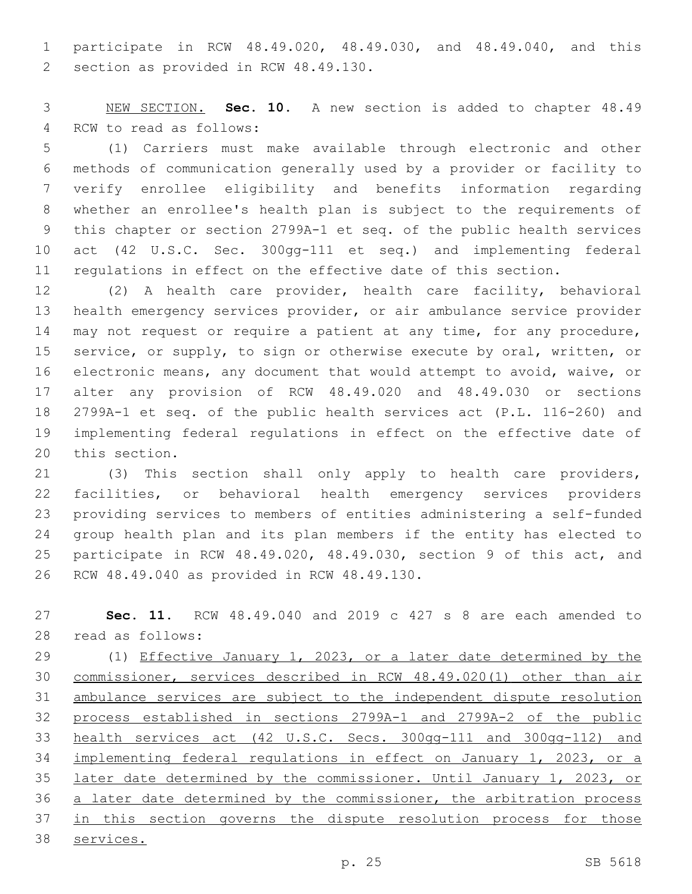participate in RCW 48.49.020, 48.49.030, and 48.49.040, and this 2 section as provided in RCW 48.49.130.

 NEW SECTION. **Sec. 10.** A new section is added to chapter 48.49 4 RCW to read as follows:

 (1) Carriers must make available through electronic and other methods of communication generally used by a provider or facility to verify enrollee eligibility and benefits information regarding whether an enrollee's health plan is subject to the requirements of this chapter or section 2799A-1 et seq. of the public health services act (42 U.S.C. Sec. 300gg-111 et seq.) and implementing federal regulations in effect on the effective date of this section.

 (2) A health care provider, health care facility, behavioral health emergency services provider, or air ambulance service provider 14 may not request or require a patient at any time, for any procedure, service, or supply, to sign or otherwise execute by oral, written, or electronic means, any document that would attempt to avoid, waive, or alter any provision of RCW 48.49.020 and 48.49.030 or sections 2799A-1 et seq. of the public health services act (P.L. 116-260) and implementing federal regulations in effect on the effective date of 20 this section.

 (3) This section shall only apply to health care providers, facilities, or behavioral health emergency services providers providing services to members of entities administering a self-funded group health plan and its plan members if the entity has elected to participate in RCW 48.49.020, 48.49.030, section 9 of this act, and 26 RCW 48.49.040 as provided in RCW 48.49.130.

 **Sec. 11.** RCW 48.49.040 and 2019 c 427 s 8 are each amended to 28 read as follows:

 (1) Effective January 1, 2023, or a later date determined by the commissioner, services described in RCW 48.49.020(1) other than air ambulance services are subject to the independent dispute resolution process established in sections 2799A-1 and 2799A-2 of the public health services act (42 U.S.C. Secs. 300gg-111 and 300gg-112) and implementing federal regulations in effect on January 1, 2023, or a later date determined by the commissioner. Until January 1, 2023, or a later date determined by the commissioner, the arbitration process 37 in this section governs the dispute resolution process for those services.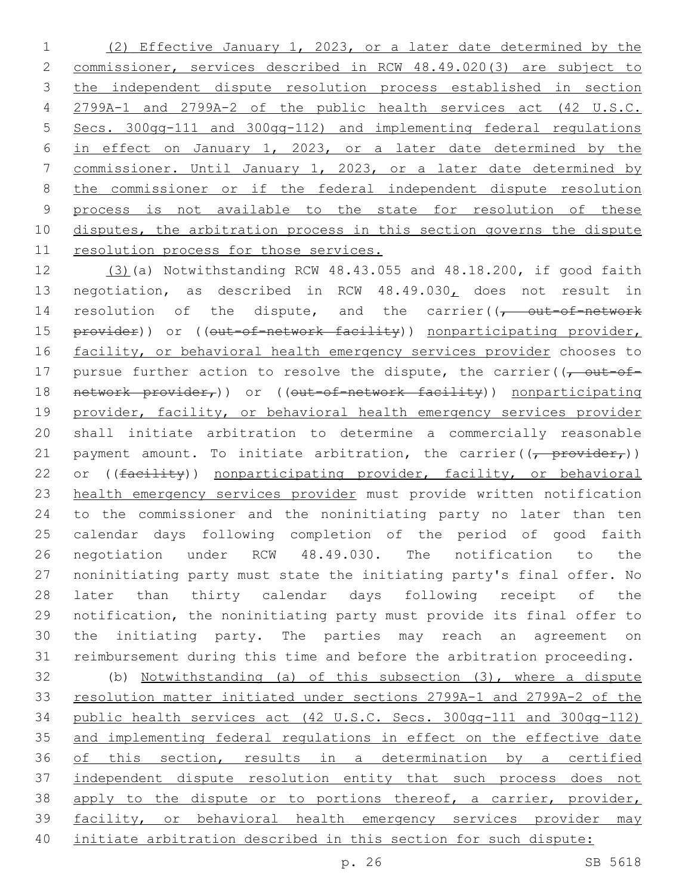(2) Effective January 1, 2023, or a later date determined by the commissioner, services described in RCW 48.49.020(3) are subject to the independent dispute resolution process established in section 2799A-1 and 2799A-2 of the public health services act (42 U.S.C. Secs. 300gg-111 and 300gg-112) and implementing federal regulations in effect on January 1, 2023, or a later date determined by the commissioner. Until January 1, 2023, or a later date determined by the commissioner or if the federal independent dispute resolution process is not available to the state for resolution of these 10 disputes, the arbitration process in this section governs the dispute resolution process for those services.

 (3)(a) Notwithstanding RCW 48.43.055 and 48.18.200, if good faith negotiation, as described in RCW 48.49.030, does not result in 14 resolution of the dispute, and the carrier( $\sqrt{t}$  out-of-network 15 provider)) or ((out-of-network facility)) nonparticipating provider, 16 facility, or behavioral health emergency services provider chooses to 17 pursue further action to resolve the dispute, the carrier( $\sqrt{\overline{C}}$ 18 network provider,)) or ((out-of-network facility)) nonparticipating provider, facility, or behavioral health emergency services provider shall initiate arbitration to determine a commercially reasonable 21 payment amount. To initiate arbitration, the carrier( $\frac{1}{(t - \text{previder}_{t})}$ ) 22 or ((facility)) nonparticipating provider, facility, or behavioral health emergency services provider must provide written notification to the commissioner and the noninitiating party no later than ten calendar days following completion of the period of good faith negotiation under RCW 48.49.030. The notification to the noninitiating party must state the initiating party's final offer. No later than thirty calendar days following receipt of the notification, the noninitiating party must provide its final offer to the initiating party. The parties may reach an agreement on reimbursement during this time and before the arbitration proceeding.

 (b) Notwithstanding (a) of this subsection (3), where a dispute resolution matter initiated under sections 2799A-1 and 2799A-2 of the public health services act (42 U.S.C. Secs. 300gg-111 and 300gg-112) and implementing federal regulations in effect on the effective date of this section, results in a determination by a certified independent dispute resolution entity that such process does not 38 apply to the dispute or to portions thereof, a carrier, provider, facility, or behavioral health emergency services provider may initiate arbitration described in this section for such dispute: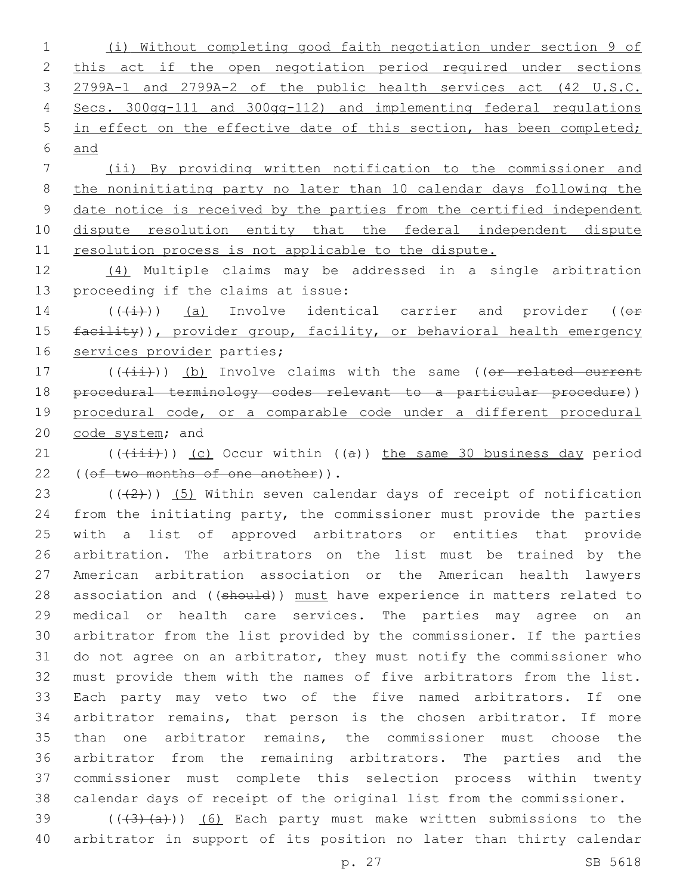(i) Without completing good faith negotiation under section 9 of 2 this act if the open negotiation period required under sections 2799A-1 and 2799A-2 of the public health services act (42 U.S.C. Secs. 300gg-111 and 300gg-112) and implementing federal regulations 5 in effect on the effective date of this section, has been completed; and

 (ii) By providing written notification to the commissioner and the noninitiating party no later than 10 calendar days following the date notice is received by the parties from the certified independent dispute resolution entity that the federal independent dispute resolution process is not applicable to the dispute.

 (4) Multiple claims may be addressed in a single arbitration 13 proceeding if the claims at issue:

14  $((\overline{t+})$ ) (a) Involve identical carrier and provider (( $\overline{t}$ ) 15 facility)), provider group, facility, or behavioral health emergency 16 services provider parties;

17 (((ii))) (b) Involve claims with the same ((or related current procedural terminology codes relevant to a particular procedure)) 19 procedural code, or a comparable code under a different procedural 20 code system; and

21 (((+iii))) (c) Occur within ((a)) the same 30 business day period 22 ((of two months of one another)).

 $((+2+))$   $(5)$  Within seven calendar days of receipt of notification from the initiating party, the commissioner must provide the parties with a list of approved arbitrators or entities that provide arbitration. The arbitrators on the list must be trained by the American arbitration association or the American health lawyers 28 association and ((should)) must have experience in matters related to medical or health care services. The parties may agree on an arbitrator from the list provided by the commissioner. If the parties do not agree on an arbitrator, they must notify the commissioner who must provide them with the names of five arbitrators from the list. Each party may veto two of the five named arbitrators. If one arbitrator remains, that person is the chosen arbitrator. If more than one arbitrator remains, the commissioner must choose the arbitrator from the remaining arbitrators. The parties and the commissioner must complete this selection process within twenty calendar days of receipt of the original list from the commissioner.

39  $((+3)+(a))$   $(6)$  Each party must make written submissions to the arbitrator in support of its position no later than thirty calendar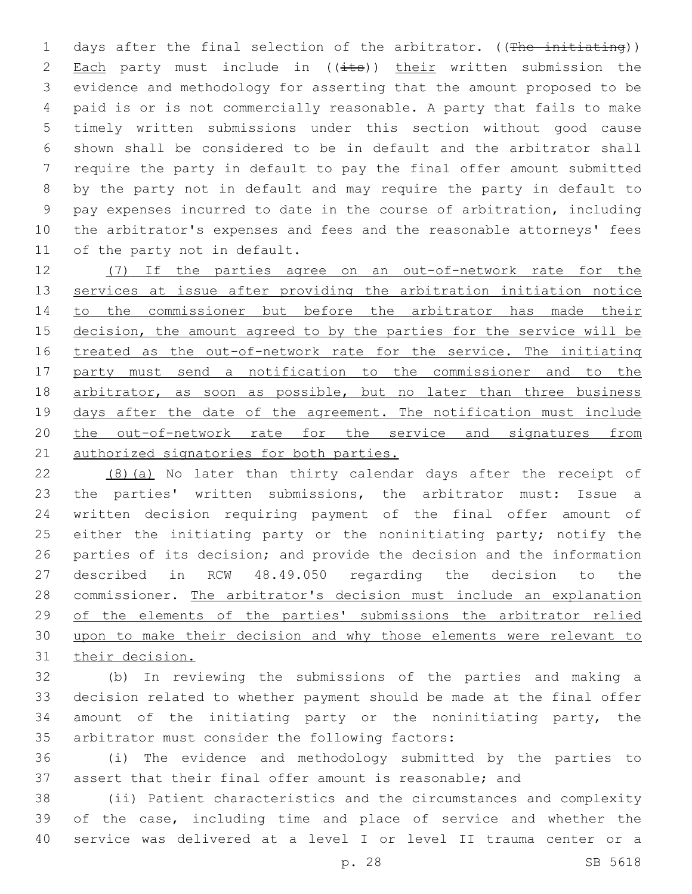1 days after the final selection of the arbitrator. ((The initiating)) 2 Each party must include in  $((i$ ts)) their written submission the evidence and methodology for asserting that the amount proposed to be paid is or is not commercially reasonable. A party that fails to make timely written submissions under this section without good cause shown shall be considered to be in default and the arbitrator shall require the party in default to pay the final offer amount submitted by the party not in default and may require the party in default to pay expenses incurred to date in the course of arbitration, including the arbitrator's expenses and fees and the reasonable attorneys' fees 11 of the party not in default.

 (7) If the parties agree on an out-of-network rate for the 13 services at issue after providing the arbitration initiation notice to the commissioner but before the arbitrator has made their 15 decision, the amount agreed to by the parties for the service will be treated as the out-of-network rate for the service. The initiating party must send a notification to the commissioner and to the 18 arbitrator, as soon as possible, but no later than three business 19 days after the date of the agreement. The notification must include the out-of-network rate for the service and signatures from 21 authorized signatories for both parties.

 (8)(a) No later than thirty calendar days after the receipt of the parties' written submissions, the arbitrator must: Issue a written decision requiring payment of the final offer amount of 25 either the initiating party or the noninitiating party; notify the parties of its decision; and provide the decision and the information described in RCW 48.49.050 regarding the decision to the commissioner. The arbitrator's decision must include an explanation of the elements of the parties' submissions the arbitrator relied upon to make their decision and why those elements were relevant to their decision.

 (b) In reviewing the submissions of the parties and making a decision related to whether payment should be made at the final offer amount of the initiating party or the noninitiating party, the 35 arbitrator must consider the following factors:

 (i) The evidence and methodology submitted by the parties to assert that their final offer amount is reasonable; and

 (ii) Patient characteristics and the circumstances and complexity of the case, including time and place of service and whether the service was delivered at a level I or level II trauma center or a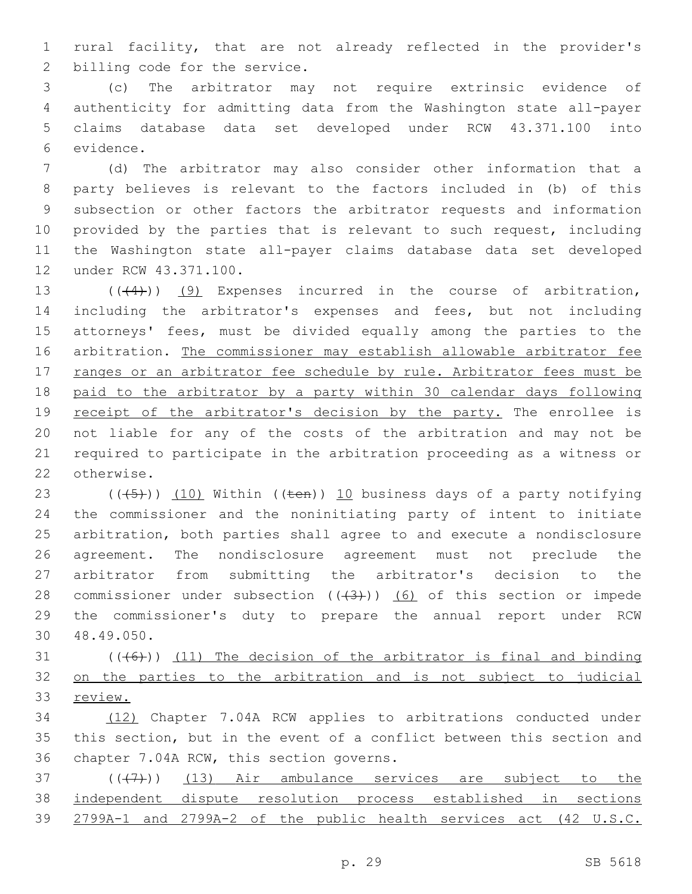rural facility, that are not already reflected in the provider's 2 billing code for the service.

 (c) The arbitrator may not require extrinsic evidence of authenticity for admitting data from the Washington state all-payer claims database data set developed under RCW 43.371.100 into 6 evidence.

 (d) The arbitrator may also consider other information that a party believes is relevant to the factors included in (b) of this subsection or other factors the arbitrator requests and information provided by the parties that is relevant to such request, including the Washington state all-payer claims database data set developed 12 under RCW 43.371.100.

13 (((4))) (9) Expenses incurred in the course of arbitration, including the arbitrator's expenses and fees, but not including attorneys' fees, must be divided equally among the parties to the arbitration. The commissioner may establish allowable arbitrator fee 17 ranges or an arbitrator fee schedule by rule. Arbitrator fees must be paid to the arbitrator by a party within 30 calendar days following 19 receipt of the arbitrator's decision by the party. The enrollee is not liable for any of the costs of the arbitration and may not be required to participate in the arbitration proceeding as a witness or 22 otherwise.

23 ( $(\overline{(-5+)}$ ) (10) Within (( $\overline{+}$ en)) 10 business days of a party notifying the commissioner and the noninitiating party of intent to initiate arbitration, both parties shall agree to and execute a nondisclosure agreement. The nondisclosure agreement must not preclude the arbitrator from submitting the arbitrator's decision to the 28 commissioner under subsection  $((+3))$   $(6)$  of this section or impede the commissioner's duty to prepare the annual report under RCW 48.49.050.30

 $(1)$  (((46))) (11) The decision of the arbitrator is final and binding on the parties to the arbitration and is not subject to judicial review.

 (12) Chapter 7.04A RCW applies to arbitrations conducted under this section, but in the event of a conflict between this section and 36 chapter 7.04A RCW, this section governs.

 $(1, 37)$  ( $(1, 7)$ ) (13) Air ambulance services are subject to the independent dispute resolution process established in sections 2799A-1 and 2799A-2 of the public health services act (42 U.S.C.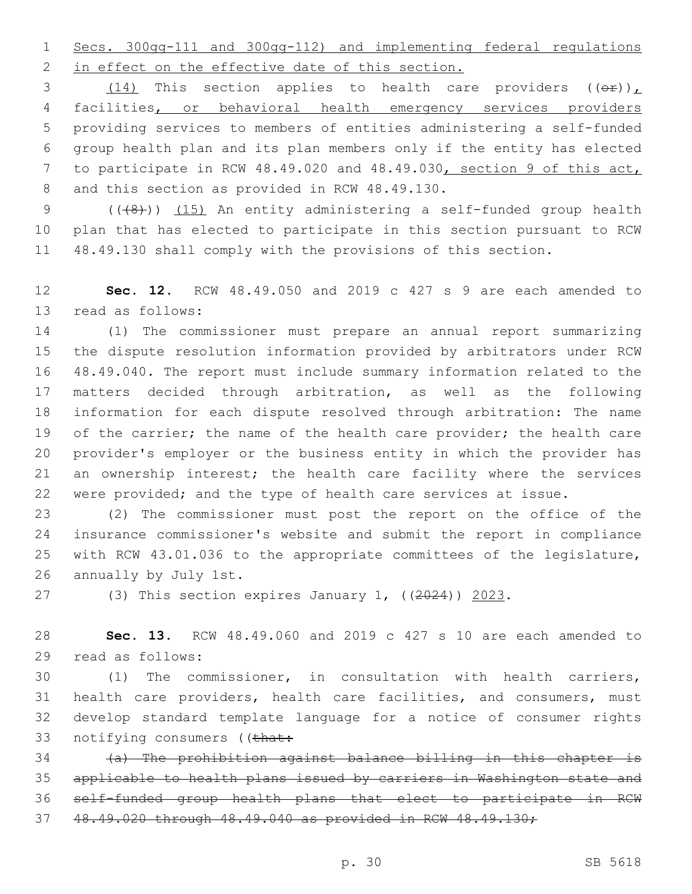Secs. 300gg-111 and 300gg-112) and implementing federal regulations 2 in effect on the effective date of this section.

3 (14) This section applies to health care providers  $((\theta \hat{r}))_L$  facilities, or behavioral health emergency services providers providing services to members of entities administering a self-funded group health plan and its plan members only if the entity has elected to participate in RCW 48.49.020 and 48.49.030, section 9 of this act, 8 and this section as provided in RCW 48.49.130.

9 (((8))) (15) An entity administering a self-funded group health plan that has elected to participate in this section pursuant to RCW 48.49.130 shall comply with the provisions of this section.

 **Sec. 12.** RCW 48.49.050 and 2019 c 427 s 9 are each amended to 13 read as follows:

 (1) The commissioner must prepare an annual report summarizing the dispute resolution information provided by arbitrators under RCW 48.49.040. The report must include summary information related to the matters decided through arbitration, as well as the following information for each dispute resolved through arbitration: The name 19 of the carrier; the name of the health care provider; the health care provider's employer or the business entity in which the provider has an ownership interest; the health care facility where the services were provided; and the type of health care services at issue.

 (2) The commissioner must post the report on the office of the insurance commissioner's website and submit the report in compliance with RCW 43.01.036 to the appropriate committees of the legislature, 26 annually by July 1st.

(3) This section expires January 1, ((2024)) 2023.

 **Sec. 13.** RCW 48.49.060 and 2019 c 427 s 10 are each amended to 29 read as follows:

 (1) The commissioner, in consultation with health carriers, health care providers, health care facilities, and consumers, must develop standard template language for a notice of consumer rights 33 notifying consumers ((that:

 (a) The prohibition against balance billing in this chapter is applicable to health plans issued by carriers in Washington state and self-funded group health plans that elect to participate in RCW 48.49.020 through 48.49.040 as provided in RCW 48.49.130;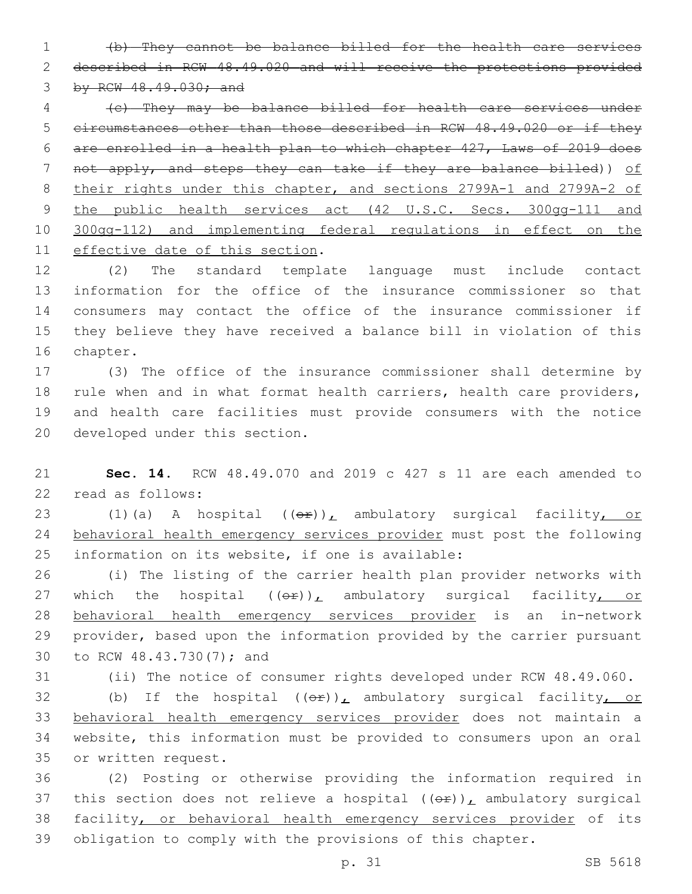(b) They cannot be balance billed for the health care services described in RCW 48.49.020 and will receive the protections provided by RCW 48.49.030; and

 (c) They may be balance billed for health care services under circumstances other than those described in RCW 48.49.020 or if they are enrolled in a health plan to which chapter 427, Laws of 2019 does not apply, and steps they can take if they are balance billed)) of their rights under this chapter, and sections 2799A-1 and 2799A-2 of 9 the public health services act (42 U.S.C. Secs. 300gg-111 and 300gg-112) and implementing federal regulations in effect on the 11 effective date of this section.

 (2) The standard template language must include contact information for the office of the insurance commissioner so that consumers may contact the office of the insurance commissioner if they believe they have received a balance bill in violation of this 16 chapter.

 (3) The office of the insurance commissioner shall determine by rule when and in what format health carriers, health care providers, and health care facilities must provide consumers with the notice 20 developed under this section.

 **Sec. 14.** RCW 48.49.070 and 2019 c 427 s 11 are each amended to 22 read as follows:

23 (1)(a) A hospital ((or)), ambulatory surgical facility, or behavioral health emergency services provider must post the following 25 information on its website, if one is available:

 (i) The listing of the carrier health plan provider networks with 27 which the hospital  $((\theta \hat{r}))_L$  ambulatory surgical facility, or behavioral health emergency services provider is an in-network provider, based upon the information provided by the carrier pursuant 30 to RCW 48.43.730(7); and

(ii) The notice of consumer rights developed under RCW 48.49.060.

32 (b) If the hospital  $((\theta \hat{r}))_L$  ambulatory surgical facility, or behavioral health emergency services provider does not maintain a website, this information must be provided to consumers upon an oral 35 or written request.

 (2) Posting or otherwise providing the information required in 37 this section does not relieve a hospital  $((\theta \hat{r}))_L$  ambulatory surgical 38 facility, or behavioral health emergency services provider of its obligation to comply with the provisions of this chapter.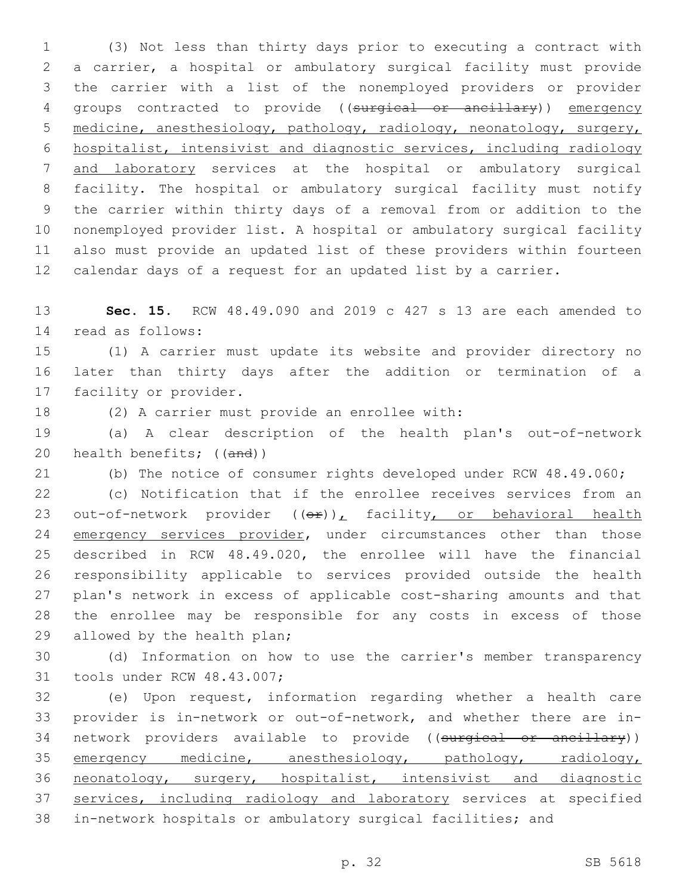(3) Not less than thirty days prior to executing a contract with a carrier, a hospital or ambulatory surgical facility must provide the carrier with a list of the nonemployed providers or provider groups contracted to provide ((surgical or ancillary)) emergency medicine, anesthesiology, pathology, radiology, neonatology, surgery, hospitalist, intensivist and diagnostic services, including radiology and laboratory services at the hospital or ambulatory surgical facility. The hospital or ambulatory surgical facility must notify the carrier within thirty days of a removal from or addition to the nonemployed provider list. A hospital or ambulatory surgical facility also must provide an updated list of these providers within fourteen calendar days of a request for an updated list by a carrier.

 **Sec. 15.** RCW 48.49.090 and 2019 c 427 s 13 are each amended to 14 read as follows:

 (1) A carrier must update its website and provider directory no later than thirty days after the addition or termination of a 17 facility or provider.

18 (2) A carrier must provide an enrollee with:

 (a) A clear description of the health plan's out-of-network 20 health benefits; ((and))

(b) The notice of consumer rights developed under RCW 48.49.060;

 (c) Notification that if the enrollee receives services from an 23 out-of-network provider  $((e^x))_t$  facility, or behavioral health 24 emergency services provider, under circumstances other than those described in RCW 48.49.020, the enrollee will have the financial responsibility applicable to services provided outside the health plan's network in excess of applicable cost-sharing amounts and that the enrollee may be responsible for any costs in excess of those 29 allowed by the health plan;

 (d) Information on how to use the carrier's member transparency 31 tools under RCW 48.43.007;

 (e) Upon request, information regarding whether a health care provider is in-network or out-of-network, and whether there are in-34 network providers available to provide ((surgical or ancillary)) 35 emergency medicine, anesthesiology, pathology, radiology, neonatology, surgery, hospitalist, intensivist and diagnostic 37 services, including radiology and laboratory services at specified in-network hospitals or ambulatory surgical facilities; and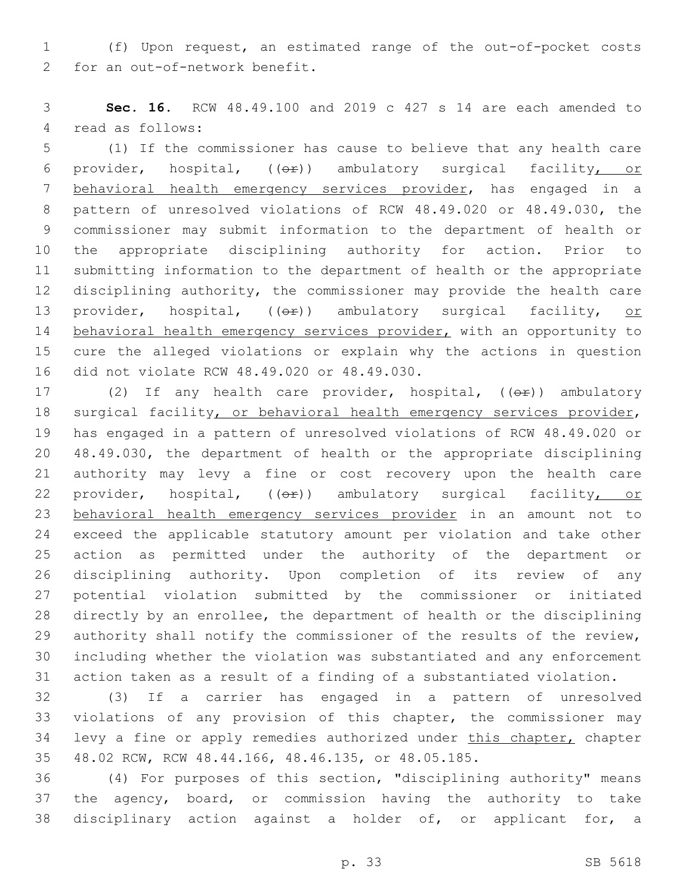(f) Upon request, an estimated range of the out-of-pocket costs 2 for an out-of-network benefit.

 **Sec. 16.** RCW 48.49.100 and 2019 c 427 s 14 are each amended to 4 read as follows:

 (1) If the commissioner has cause to believe that any health care 6 provider, hospital,  $((eF))$  ambulatory surgical facility, or behavioral health emergency services provider, has engaged in a pattern of unresolved violations of RCW 48.49.020 or 48.49.030, the commissioner may submit information to the department of health or the appropriate disciplining authority for action. Prior to submitting information to the department of health or the appropriate disciplining authority, the commissioner may provide the health care 13 provider, hospital, (( $\Theta$ )) ambulatory surgical facility, or 14 behavioral health emergency services provider, with an opportunity to cure the alleged violations or explain why the actions in question 16 did not violate RCW 48.49.020 or 48.49.030.

17 (2) If any health care provider, hospital, ((or)) ambulatory 18 surgical facility, or behavioral health emergency services provider, has engaged in a pattern of unresolved violations of RCW 48.49.020 or 48.49.030, the department of health or the appropriate disciplining authority may levy a fine or cost recovery upon the health care 22 provider, hospital, (( $\Theta$ )) ambulatory surgical facility, or behavioral health emergency services provider in an amount not to exceed the applicable statutory amount per violation and take other action as permitted under the authority of the department or disciplining authority. Upon completion of its review of any potential violation submitted by the commissioner or initiated directly by an enrollee, the department of health or the disciplining authority shall notify the commissioner of the results of the review, including whether the violation was substantiated and any enforcement action taken as a result of a finding of a substantiated violation.

 (3) If a carrier has engaged in a pattern of unresolved violations of any provision of this chapter, the commissioner may 34 levy a fine or apply remedies authorized under this chapter, chapter 48.02 RCW, RCW 48.44.166, 48.46.135, or 48.05.185.

 (4) For purposes of this section, "disciplining authority" means the agency, board, or commission having the authority to take disciplinary action against a holder of, or applicant for, a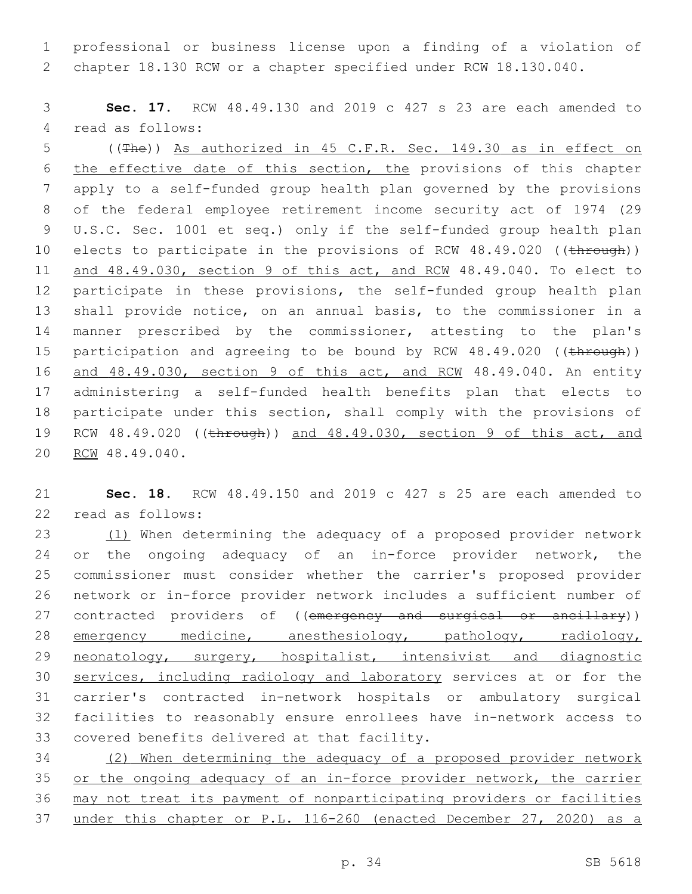professional or business license upon a finding of a violation of chapter 18.130 RCW or a chapter specified under RCW 18.130.040.

 **Sec. 17.** RCW 48.49.130 and 2019 c 427 s 23 are each amended to 4 read as follows:

 ((The)) As authorized in 45 C.F.R. Sec. 149.30 as in effect on the effective date of this section, the provisions of this chapter apply to a self-funded group health plan governed by the provisions of the federal employee retirement income security act of 1974 (29 U.S.C. Sec. 1001 et seq.) only if the self-funded group health plan 10 elects to participate in the provisions of RCW 48.49.020 ((through)) and 48.49.030, section 9 of this act, and RCW 48.49.040. To elect to participate in these provisions, the self-funded group health plan shall provide notice, on an annual basis, to the commissioner in a manner prescribed by the commissioner, attesting to the plan's 15 participation and agreeing to be bound by RCW 48.49.020 ((through)) 16 and 48.49.030, section 9 of this act, and RCM 48.49.040. An entity administering a self-funded health benefits plan that elects to participate under this section, shall comply with the provisions of RCW 48.49.020 ((through)) and 48.49.030, section 9 of this act, and 20 RCW 48.49.040.

 **Sec. 18.** RCW 48.49.150 and 2019 c 427 s 25 are each amended to 22 read as follows:

23 (1) When determining the adequacy of a proposed provider network or the ongoing adequacy of an in-force provider network, the commissioner must consider whether the carrier's proposed provider network or in-force provider network includes a sufficient number of 27 contracted providers of ((emergency and surgical or ancillary)) 28 emergency medicine, anesthesiology, pathology, radiology, 29 neonatology, surgery, hospitalist, intensivist and diagnostic 30 services, including radiology and laboratory services at or for the carrier's contracted in-network hospitals or ambulatory surgical facilities to reasonably ensure enrollees have in-network access to 33 covered benefits delivered at that facility.

 (2) When determining the adequacy of a proposed provider network or the ongoing adequacy of an in-force provider network, the carrier may not treat its payment of nonparticipating providers or facilities under this chapter or P.L. 116-260 (enacted December 27, 2020) as a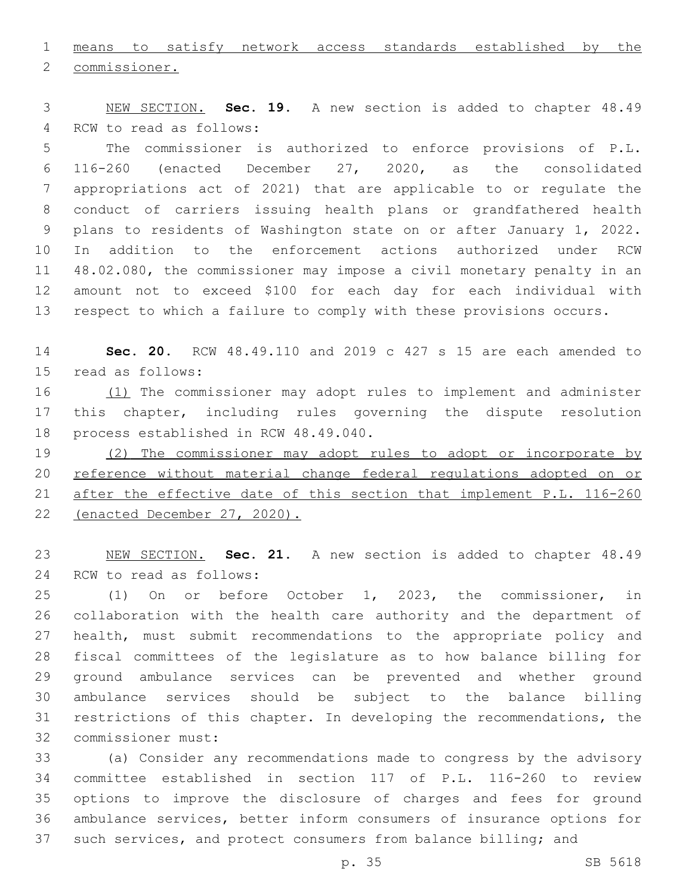means to satisfy network access standards established by the

2 commissioner.

 NEW SECTION. **Sec. 19.** A new section is added to chapter 48.49 4 RCW to read as follows:

 The commissioner is authorized to enforce provisions of P.L. 116-260 (enacted December 27, 2020, as the consolidated appropriations act of 2021) that are applicable to or regulate the conduct of carriers issuing health plans or grandfathered health plans to residents of Washington state on or after January 1, 2022. In addition to the enforcement actions authorized under RCW 48.02.080, the commissioner may impose a civil monetary penalty in an amount not to exceed \$100 for each day for each individual with respect to which a failure to comply with these provisions occurs.

 **Sec. 20.** RCW 48.49.110 and 2019 c 427 s 15 are each amended to 15 read as follows:

16 (1) The commissioner may adopt rules to implement and administer this chapter, including rules governing the dispute resolution 18 process established in RCW 48.49.040.

19 (2) The commissioner may adopt rules to adopt or incorporate by 20 reference without material change federal requlations adopted on or after the effective date of this section that implement P.L. 116-260 (enacted December 27, 2020).

 NEW SECTION. **Sec. 21.** A new section is added to chapter 48.49 24 RCW to read as follows:

 (1) On or before October 1, 2023, the commissioner, in collaboration with the health care authority and the department of health, must submit recommendations to the appropriate policy and fiscal committees of the legislature as to how balance billing for ground ambulance services can be prevented and whether ground ambulance services should be subject to the balance billing restrictions of this chapter. In developing the recommendations, the 32 commissioner must:

 (a) Consider any recommendations made to congress by the advisory committee established in section 117 of P.L. 116-260 to review options to improve the disclosure of charges and fees for ground ambulance services, better inform consumers of insurance options for such services, and protect consumers from balance billing; and